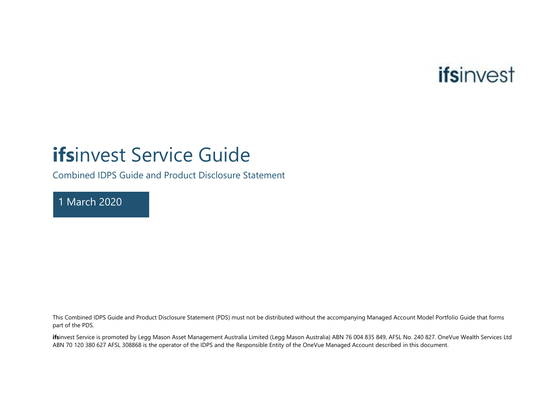

# **ifs**invest Service Guide

Combined IDPS Guide and Product Disclosure Statement

1 March 2020

This Combined IDPS Guide and Product Disclosure Statement (PDS) must not be distributed without the accompanying Managed Account Model Portfolio Guide that forms part of the PDS.

**ifs**invest Service is promoted by Legg Mason Asset Management Australia Limited (Legg Mason Australia) ABN 76 004 835 849, AFSL No. 240 827. OneVue Wealth Services Ltd ABN 70 120 380 627 AFSL 308868 is the operator of the IDPS and the Responsible Entity of the OneVue Managed Account described in this document.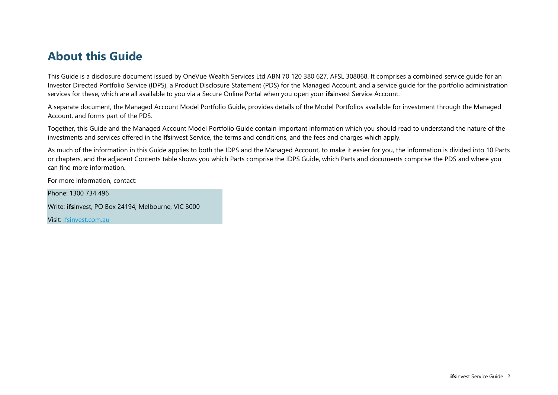## **About this Guide**

This Guide is a disclosure document issued by OneVue Wealth Services Ltd ABN 70 120 380 627, AFSL 308868. It comprises a combined service guide for an Investor Directed Portfolio Service (IDPS), a Product Disclosure Statement (PDS) for the Managed Account, and a service guide for the portfolio administration services for these, which are all available to you via a Secure Online Portal when you open your **ifs**invest Service Account.

A separate document, the Managed Account Model Portfolio Guide, provides details of the Model Portfolios available for investment through the Managed Account, and forms part of the PDS.

Together, this Guide and the Managed Account Model Portfolio Guide contain important information which you should read to understand the nature of the investments and services offered in the **ifs**invest Service, the terms and conditions, and the fees and charges which apply.

As much of the information in this Guide applies to both the IDPS and the Managed Account, to make it easier for you, the information is divided into 10 Parts or chapters, and the adjacent Contents table shows you which Parts comprise the IDPS Guide, which Parts and documents comprise the PDS and where you can find more information.

For more information, contact:

Phone: 1300 734 496

Write: **ifs**invest, PO Box 24194, Melbourne, VIC 3000

Visit: ifsinvest.com.au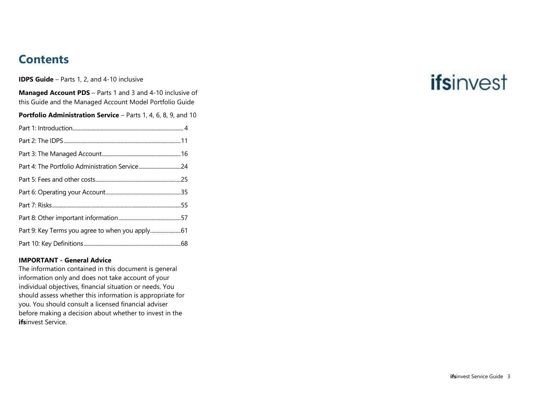# **Contents**

**IDPS Guide** – Parts 1, 2, and 4-10 inclusive

**Managed Account PDS** – Parts 1 and 3 and 4-10 inclusive of this Guide and the Managed Account Model Portfolio Guide

**Portfolio Administration Service** – Parts 1, 4, 6, 8, 9, and 10

| Part 4: The Portfolio Administration Service24 |  |
|------------------------------------------------|--|
|                                                |  |
|                                                |  |
|                                                |  |
|                                                |  |
|                                                |  |
|                                                |  |

#### **IMPORTANT - General Advice**

The information contained in this document is general information only and does not take account of your individual objectives, financial situation or needs. You should assess whether this information is appropriate for you. You should consult a licensed financial adviser before making a decision about whether to invest in the **ifs**invest Service.

# ifsinvest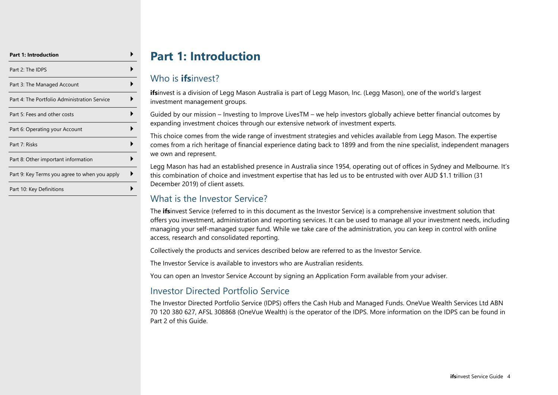| <b>Part 1: Introduction</b>                   |  |
|-----------------------------------------------|--|
| Part 2: The IDPS                              |  |
| Part 3: The Managed Account                   |  |
| Part 4: The Portfolio Administration Service  |  |
| Part 5: Fees and other costs                  |  |
| Part 6: Operating your Account                |  |
| Part 7: Risks                                 |  |
| Part 8: Other important information           |  |
| Part 9: Key Terms you agree to when you apply |  |
| Part 10: Key Definitions                      |  |

# **Part 1: Introduction**

## <span id="page-3-0"></span>Who is **ifs**invest?

**ifs**invest is a division of Legg Mason Australia is part of Legg Mason, Inc. (Legg Mason), one of the world's largest investment management groups.

Guided by our mission – Investing to Improve LivesTM – we help investors globally achieve better financial outcomes by expanding investment choices through our extensive network of investment experts.

This choice comes from the wide range of investment strategies and vehicles available from Legg Mason. The expertise comes from a rich heritage of financial experience dating back to 1899 and from the nine specialist, independent managers we own and represent.

Legg Mason has had an established presence in Australia since 1954, operating out of offices in Sydney and Melbourne. It's this combination of choice and investment expertise that has led us to be entrusted with over AUD \$1.1 trillion (31 December 2019) of client assets.

## What is the Investor Service?

The **ifs**invest Service (referred to in this document as the Investor Service) is a comprehensive investment solution that offers you investment, administration and reporting services. It can be used to manage all your investment needs, including managing your self-managed super fund. While we take care of the administration, you can keep in control with online access, research and consolidated reporting.

Collectively the products and services described below are referred to as the Investor Service.

The Investor Service is available to investors who are Australian residents.

You can open an Investor Service Account by signing an Application Form available from your adviser.

## Investor Directed Portfolio Service

The Investor Directed Portfolio Service (IDPS) offers the Cash Hub and Managed Funds. OneVue Wealth Services Ltd ABN 70 120 380 627, AFSL 308868 (OneVue Wealth) is the operator of the IDPS. More information on the IDPS can be found in Part 2 of this Guide.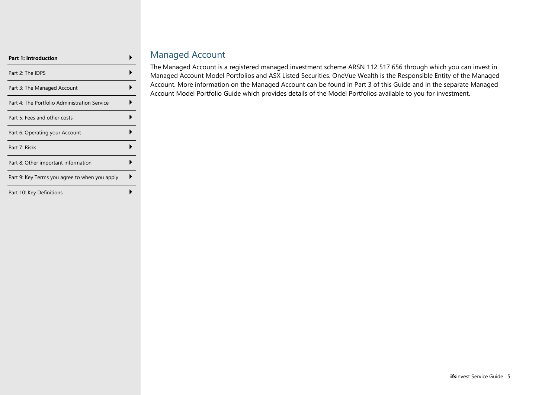| <b>Part 1: Introduction</b>                   |  |
|-----------------------------------------------|--|
| Part 2: The IDPS                              |  |
| Part 3: The Managed Account                   |  |
| Part 4: The Portfolio Administration Service  |  |
| Part 5: Fees and other costs                  |  |
| Part 6: Operating your Account                |  |
| Part 7: Risks                                 |  |
| Part 8: Other important information           |  |
| Part 9: Key Terms you agree to when you apply |  |
| Part 10: Key Definitions                      |  |

## Managed Account

The Managed Account is a registered managed investment scheme ARSN 112 517 656 through which you can invest in Managed Account Model Portfolios and ASX Listed Securities. OneVue Wealth is the Responsible Entity of the Managed Account. More information on the Managed Account can be found in Part 3 of this Guide and in the separate Managed Account Model Portfolio Guide which provides details of the Model Portfolios available to you for investment.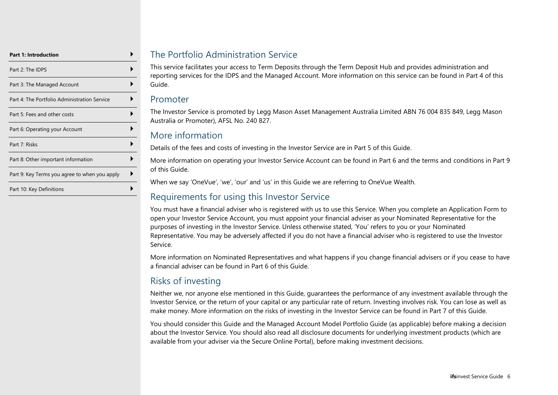| <b>Part 1: Introduction</b>                   |  |
|-----------------------------------------------|--|
| Part 2: The IDPS                              |  |
| Part 3: The Managed Account                   |  |
| Part 4: The Portfolio Administration Service  |  |
| Part 5: Fees and other costs                  |  |
| Part 6: Operating your Account                |  |
| Part 7: Risks                                 |  |
| Part 8: Other important information           |  |
| Part 9: Key Terms you agree to when you apply |  |
| Part 10: Key Definitions                      |  |

### The Portfolio Administration Service

This service facilitates your access to Term Deposits through the Term Deposit Hub and provides administration and reporting services for the IDPS and the Managed Account. More information on this service can be found in Part 4 of this Guide.

#### Promoter

The Investor Service is promoted by Legg Mason Asset Management Australia Limited ABN 76 004 835 849, Legg Mason Australia or Promoter), AFSL No. 240 827.

## More information

Details of the fees and costs of investing in the Investor Service are in Part 5 of this Guide.

More information on operating your Investor Service Account can be found in Part 6 and the terms and conditions in Part 9 of this Guide.

When we say 'OneVue', 'we', 'our' and 'us' in this Guide we are referring to OneVue Wealth.

## Requirements for using this Investor Service

You must have a financial adviser who is registered with us to use this Service. When you complete an Application Form to open your Investor Service Account, you must appoint your financial adviser as your Nominated Representative for the purposes of investing in the Investor Service. Unless otherwise stated, 'You' refers to you or your Nominated Representative. You may be adversely affected if you do not have a financial adviser who is registered to use the Investor Service.

More information on Nominated Representatives and what happens if you change financial advisers or if you cease to have a financial adviser can be found in Part 6 of this Guide.

## Risks of investing

Neither we, nor anyone else mentioned in this Guide, guarantees the performance of any investment available through the Investor Service, or the return of your capital or any particular rate of return. Investing involves risk. You can lose as well as make money. More information on the risks of investing in the Investor Service can be found in Part 7 of this Guide.

You should consider this Guide and the Managed Account Model Portfolio Guide (as applicable) before making a decision about the Investor Service. You should also read all disclosure documents for underlying investment products (which are available from your adviser via the Secure Online Portal), before making investment decisions.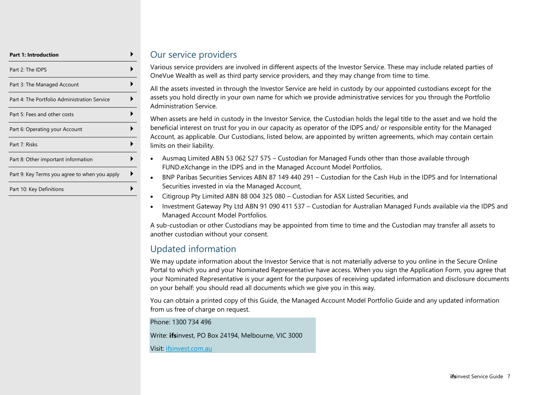| <b>Part 1: Introduction</b>                   |  |
|-----------------------------------------------|--|
| Part 2: The IDPS                              |  |
| Part 3: The Managed Account                   |  |
| Part 4: The Portfolio Administration Service  |  |
| Part 5: Fees and other costs                  |  |
| Part 6: Operating your Account                |  |
| Part 7: Risks                                 |  |
| Part 8: Other important information           |  |
| Part 9: Key Terms you agree to when you apply |  |
| Part 10: Key Definitions                      |  |

#### Our service providers

Various service providers are involved in different aspects of the Investor Service. These may include related parties of OneVue Wealth as well as third party service providers, and they may change from time to time.

All the assets invested in through the Investor Service are held in custody by our appointed custodians except for the assets you hold directly in your own name for which we provide administrative services for you through the Portfolio Administration Service.

When assets are held in custody in the Investor Service, the Custodian holds the legal title to the asset and we hold the beneficial interest on trust for you in our capacity as operator of the IDPS and/ or responsible entity for the Managed Account, as applicable. Our Custodians, listed below, are appointed by written agreements, which may contain certain limits on their liability.

- Ausmaq Limited ABN 53 062 527 575 Custodian for Managed Funds other than those available through FUND.eXchange in the IDPS and in the Managed Account Model Portfolios,
- BNP Paribas Securities Services ABN 87 149 440 291 Custodian for the Cash Hub in the IDPS and for International Securities invested in via the Managed Account,
- Citigroup Pty Limited ABN 88 004 325 080 Custodian for ASX Listed Securities, and
- Investment Gateway Pty Ltd ABN 91 090 411 537 Custodian for Australian Managed Funds available via the IDPS and Managed Account Model Portfolios.

A sub-custodian or other Custodians may be appointed from time to time and the Custodian may transfer all assets to another custodian without your consent.

## Updated information

We may update information about the Investor Service that is not materially adverse to you online in the Secure Online Portal to which you and your Nominated Representative have access. When you sign the Application Form, you agree that your Nominated Representative is your agent for the purposes of receiving updated information and disclosure documents on your behalf: you should read all documents which we give you in this way.

You can obtain a printed copy of this Guide, the Managed Account Model Portfolio Guide and any updated information from us free of charge on request.

Phone: 1300 734 496

Write: **ifs**invest, PO Box 24194, Melbourne, VIC 3000

Visit: ifsinvest.com.au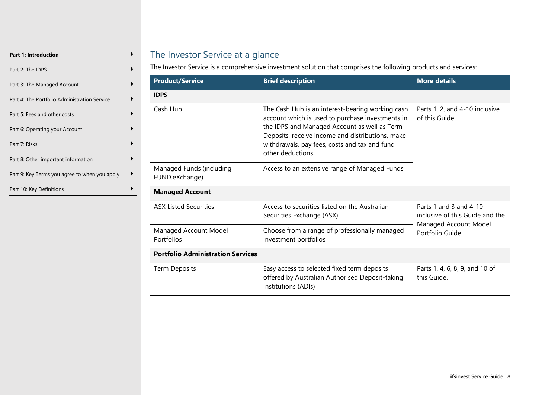| <b>Part 1: Introduction</b>                   |  |
|-----------------------------------------------|--|
| Part 2: The IDPS                              |  |
| Part 3: The Managed Account                   |  |
| Part 4: The Portfolio Administration Service  |  |
| Part 5: Fees and other costs                  |  |
| Part 6: Operating your Account                |  |
| Part 7: Risks                                 |  |
| Part 8: Other important information           |  |
| Part 9: Key Terms you agree to when you apply |  |
| Part 10: Key Definitions                      |  |

## The Investor Service at a glance

The Investor Service is a comprehensive investment solution that comprises the following products and services:

| <b>Product/Service</b>                     | <b>Brief description</b>                                                                                                                                                                                                                                                      | <b>More details</b>                                       |
|--------------------------------------------|-------------------------------------------------------------------------------------------------------------------------------------------------------------------------------------------------------------------------------------------------------------------------------|-----------------------------------------------------------|
| <b>IDPS</b>                                |                                                                                                                                                                                                                                                                               |                                                           |
| Cash Hub                                   | The Cash Hub is an interest-bearing working cash<br>account which is used to purchase investments in<br>the IDPS and Managed Account as well as Term<br>Deposits, receive income and distributions, make<br>withdrawals, pay fees, costs and tax and fund<br>other deductions | Parts 1, 2, and 4-10 inclusive<br>of this Guide           |
| Managed Funds (including<br>FUND.eXchange) | Access to an extensive range of Managed Funds                                                                                                                                                                                                                                 |                                                           |
| <b>Managed Account</b>                     |                                                                                                                                                                                                                                                                               |                                                           |
| <b>ASX Listed Securities</b>               | Access to securities listed on the Australian<br>Securities Exchange (ASX)                                                                                                                                                                                                    | Parts 1 and 3 and 4-10<br>inclusive of this Guide and the |
| Managed Account Model<br>Portfolios        | Choose from a range of professionally managed<br>investment portfolios                                                                                                                                                                                                        | Managed Account Model<br>Portfolio Guide                  |
| <b>Portfolio Administration Services</b>   |                                                                                                                                                                                                                                                                               |                                                           |
| Term Deposits                              | Easy access to selected fixed term deposits<br>offered by Australian Authorised Deposit-taking<br>Institutions (ADIs)                                                                                                                                                         | Parts 1, 4, 6, 8, 9, and 10 of<br>this Guide.             |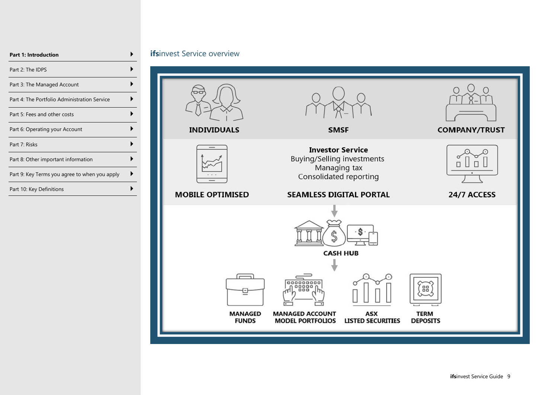| <b>Part 1: Introduction</b>                   |  |
|-----------------------------------------------|--|
| Part 2: The IDPS                              |  |
| Part 3: The Managed Account                   |  |
| Part 4: The Portfolio Administration Service  |  |
| Part 5: Fees and other costs                  |  |
| Part 6: Operating your Account                |  |
| Part 7: Risks                                 |  |
| Part 8: Other important information           |  |
| Part 9: Key Terms you agree to when you apply |  |
| Part 10: Key Definitions                      |  |

#### *ifsinvest Service overview*

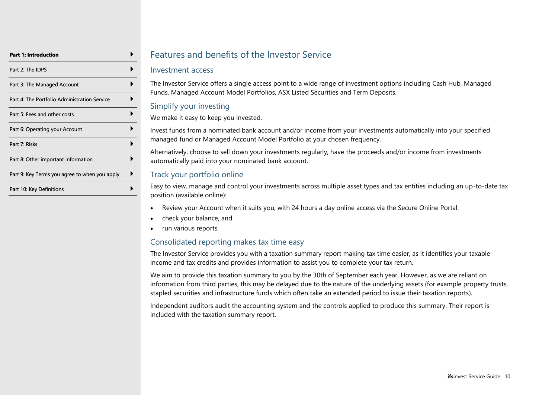| Part 1: Introduction                          |  |
|-----------------------------------------------|--|
| Part 2: The IDPS                              |  |
| Part 3: The Managed Account                   |  |
| Part 4: The Portfolio Administration Service  |  |
| Part 5: Fees and other costs                  |  |
| Part 6: Operating your Account                |  |
| Part 7: Risks                                 |  |
| Part 8: Other important information           |  |
| Part 9: Key Terms you agree to when you apply |  |
| Part 10: Key Definitions                      |  |

## Features and benefits of the Investor Service

#### Investment access

The Investor Service offers a single access point to a wide range of investment options including Cash Hub, Managed Funds, Managed Account Model Portfolios, ASX Listed Securities and Term Deposits.

#### Simplify your investing

We make it easy to keep you invested.

Invest funds from a nominated bank account and/or income from your investments automatically into your specified managed fund or Managed Account Model Portfolio at your chosen frequency.

Alternatively, choose to sell down your investments regularly, have the proceeds and/or income from investments automatically paid into your nominated bank account.

#### Track your portfolio online

Easy to view, manage and control your investments across multiple asset types and tax entities including an up-to-date tax position (available online):

- Review your Account when it suits you, with 24 hours a day online access via the Secure Online Portal:
- check your balance, and
- run various reports.

#### Consolidated reporting makes tax time easy

The Investor Service provides you with a taxation summary report making tax time easier, as it identifies your taxable income and tax credits and provides information to assist you to complete your tax return.

We aim to provide this taxation summary to you by the 30th of September each year. However, as we are reliant on information from third parties, this may be delayed due to the nature of the underlying assets (for example property trusts, stapled securities and infrastructure funds which often take an extended period to issue their taxation reports).

Independent auditors audit the accounting system and the controls applied to produce this summary. Their report is included with the taxation summary report.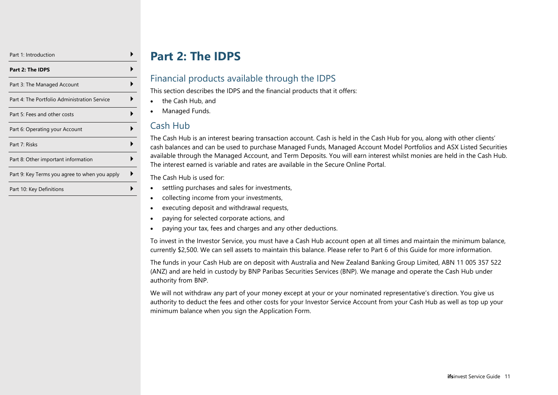| Part 1: Introduction                          |  |
|-----------------------------------------------|--|
| Part 2: The IDPS                              |  |
| Part 3: The Managed Account                   |  |
| Part 4: The Portfolio Administration Service  |  |
| Part 5: Fees and other costs                  |  |
| Part 6: Operating your Account                |  |
| Part 7: Risks                                 |  |
| Part 8: Other important information           |  |
| Part 9: Key Terms you agree to when you apply |  |
| Part 10: Key Definitions                      |  |

# **Part 2: The IDPS**

## <span id="page-10-0"></span>Financial products available through the IDPS

This section describes the IDPS and the financial products that it offers:

- the Cash Hub, and
- Managed Funds.

## Cash Hub

The Cash Hub is an interest bearing transaction account. Cash is held in the Cash Hub for you, along with other clients' cash balances and can be used to purchase Managed Funds, Managed Account Model Portfolios and ASX Listed Securities available through the Managed Account, and Term Deposits. You will earn interest whilst monies are held in the Cash Hub. The interest earned is variable and rates are available in the Secure Online Portal.

The Cash Hub is used for:

- settling purchases and sales for investments,
- collecting income from your investments,
- executing deposit and withdrawal requests,
- paying for selected corporate actions, and
- paying your tax, fees and charges and any other deductions.

To invest in the Investor Service, you must have a Cash Hub account open at all times and maintain the minimum balance, currently \$2,500. We can sell assets to maintain this balance. Please refer to Part 6 of this Guide for more information.

The funds in your Cash Hub are on deposit with Australia and New Zealand Banking Group Limited, ABN 11 005 357 522 (ANZ) and are held in custody by BNP Paribas Securities Services (BNP). We manage and operate the Cash Hub under authority from BNP.

We will not withdraw any part of your money except at your or your nominated representative's direction. You give us authority to deduct the fees and other costs for your Investor Service Account from your Cash Hub as well as top up your minimum balance when you sign the Application Form.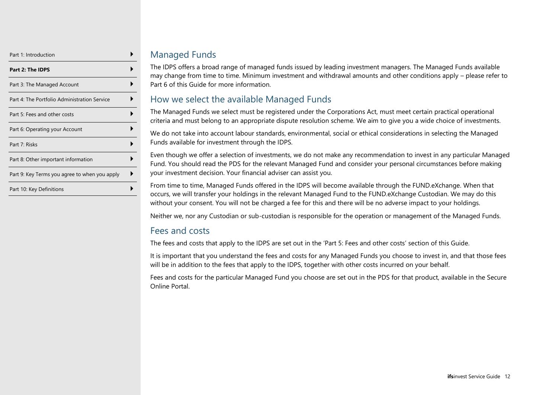| Part 1: Introduction                          |  |
|-----------------------------------------------|--|
| Part 2: The IDPS                              |  |
| Part 3: The Managed Account                   |  |
| Part 4: The Portfolio Administration Service  |  |
| Part 5: Fees and other costs                  |  |
| Part 6: Operating your Account                |  |
| Part 7: Risks                                 |  |
| Part 8: Other important information           |  |
| Part 9: Key Terms you agree to when you apply |  |
| Part 10: Key Definitions                      |  |

## Managed Funds

The IDPS offers a broad range of managed funds issued by leading investment managers. The Managed Funds available may change from time to time. Minimum investment and withdrawal amounts and other conditions apply – please refer to Part 6 of this Guide for more information.

## How we select the available Managed Funds

The Managed Funds we select must be registered under the Corporations Act, must meet certain practical operational criteria and must belong to an appropriate dispute resolution scheme. We aim to give you a wide choice of investments.

We do not take into account labour standards, environmental, social or ethical considerations in selecting the Managed Funds available for investment through the IDPS.

Even though we offer a selection of investments, we do not make any recommendation to invest in any particular Managed Fund. You should read the PDS for the relevant Managed Fund and consider your personal circumstances before making your investment decision. Your financial adviser can assist you.

From time to time, Managed Funds offered in the IDPS will become available through the FUND.eXchange. When that occurs, we will transfer your holdings in the relevant Managed Fund to the FUND.eXchange Custodian. We may do this without your consent. You will not be charged a fee for this and there will be no adverse impact to your holdings.

Neither we, nor any Custodian or sub-custodian is responsible for the operation or management of the Managed Funds.

## Fees and costs

The fees and costs that apply to the IDPS are set out in the 'Part 5: Fees and other costs' section of this Guide.

It is important that you understand the fees and costs for any Managed Funds you choose to invest in, and that those fees will be in addition to the fees that apply to the IDPS, together with other costs incurred on your behalf.

Fees and costs for the particular Managed Fund you choose are set out in the PDS for that product, available in the Secure Online Portal.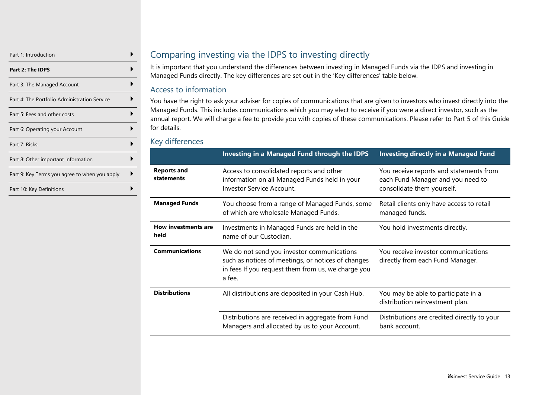| Part 1: Introduction                          |  |
|-----------------------------------------------|--|
| Part 2: The IDPS                              |  |
| Part 3: The Managed Account                   |  |
| Part 4: The Portfolio Administration Service  |  |
| Part 5: Fees and other costs                  |  |
| Part 6: Operating your Account                |  |
| Part 7: Risks                                 |  |
| Part 8: Other important information           |  |
| Part 9: Key Terms you agree to when you apply |  |
| Part 10: Key Definitions                      |  |

## Comparing investing via the IDPS to investing directly

It is important that you understand the differences between investing in Managed Funds via the IDPS and investing in Managed Funds directly. The key differences are set out in the 'Key differences' table below.

#### Access to information

You have the right to ask your adviser for copies of communications that are given to investors who invest directly into the Managed Funds. This includes communications which you may elect to receive if you were a direct investor, such as the annual report. We will charge a fee to provide you with copies of these communications. Please refer to Part 5 of this Guide for details.

#### Key differences

|                                  | <b>Investing in a Managed Fund through the IDPS</b>                                                                                                              | <b>Investing directly in a Managed Fund</b>                                                                |
|----------------------------------|------------------------------------------------------------------------------------------------------------------------------------------------------------------|------------------------------------------------------------------------------------------------------------|
| <b>Reports and</b><br>statements | Access to consolidated reports and other<br>information on all Managed Funds held in your<br><b>Investor Service Account.</b>                                    | You receive reports and statements from<br>each Fund Manager and you need to<br>consolidate them yourself. |
| <b>Managed Funds</b>             | You choose from a range of Managed Funds, some<br>of which are wholesale Managed Funds.                                                                          | Retail clients only have access to retail<br>managed funds.                                                |
| How investments are<br>held      | Investments in Managed Funds are held in the<br>name of our Custodian.                                                                                           | You hold investments directly.                                                                             |
| <b>Communications</b>            | We do not send you investor communications<br>such as notices of meetings, or notices of changes<br>in fees If you request them from us, we charge you<br>a fee. | You receive investor communications<br>directly from each Fund Manager.                                    |
| <b>Distributions</b>             | All distributions are deposited in your Cash Hub.                                                                                                                | You may be able to participate in a<br>distribution reinvestment plan.                                     |
|                                  | Distributions are received in aggregate from Fund<br>Managers and allocated by us to your Account.                                                               | Distributions are credited directly to your<br>bank account.                                               |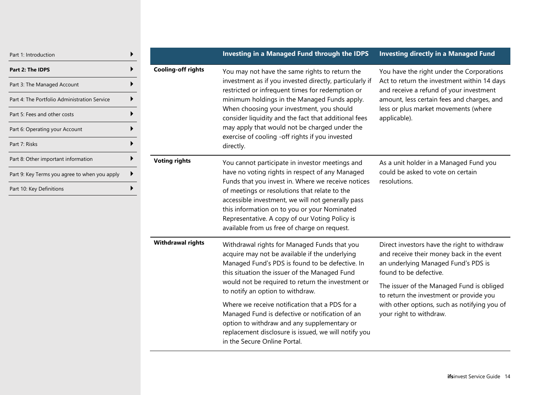| Part 1: Introduction                                                                                                                                                                         |                           | Investing in a Managed Fund through the IDPS                                                                                                                                                                                                                                                                                                                                                                                                                                                                                            | <b>Investing directly in a Managed Fund</b>                                                                                                                                                                                                                                                                                  |
|----------------------------------------------------------------------------------------------------------------------------------------------------------------------------------------------|---------------------------|-----------------------------------------------------------------------------------------------------------------------------------------------------------------------------------------------------------------------------------------------------------------------------------------------------------------------------------------------------------------------------------------------------------------------------------------------------------------------------------------------------------------------------------------|------------------------------------------------------------------------------------------------------------------------------------------------------------------------------------------------------------------------------------------------------------------------------------------------------------------------------|
| Part 2: The IDPS<br>▶<br>Part 3: The Managed Account<br>▶<br>Part 4: The Portfolio Administration Service<br>Part 5: Fees and other costs<br>Part 6: Operating your Account<br>Part 7: Risks | <b>Cooling-off rights</b> | You may not have the same rights to return the<br>investment as if you invested directly, particularly if<br>restricted or infrequent times for redemption or<br>minimum holdings in the Managed Funds apply.<br>When choosing your investment, you should<br>consider liquidity and the fact that additional fees<br>may apply that would not be charged under the<br>exercise of cooling -off rights if you invested<br>directly.                                                                                                     | You have the right under the Corporations<br>Act to return the investment within 14 days<br>and receive a refund of your investment<br>amount, less certain fees and charges, and<br>less or plus market movements (where<br>applicable).                                                                                    |
| Part 8: Other important information<br>Part 9: Key Terms you agree to when you apply<br>▶<br>Part 10: Key Definitions                                                                        | <b>Voting rights</b>      | You cannot participate in investor meetings and<br>have no voting rights in respect of any Managed<br>Funds that you invest in. Where we receive notices<br>of meetings or resolutions that relate to the<br>accessible investment, we will not generally pass<br>this information on to you or your Nominated<br>Representative. A copy of our Voting Policy is<br>available from us free of charge on request.                                                                                                                        | As a unit holder in a Managed Fund you<br>could be asked to vote on certain<br>resolutions.                                                                                                                                                                                                                                  |
|                                                                                                                                                                                              | <b>Withdrawal rights</b>  | Withdrawal rights for Managed Funds that you<br>acquire may not be available if the underlying<br>Managed Fund's PDS is found to be defective. In<br>this situation the issuer of the Managed Fund<br>would not be required to return the investment or<br>to notify an option to withdraw.<br>Where we receive notification that a PDS for a<br>Managed Fund is defective or notification of an<br>option to withdraw and any supplementary or<br>replacement disclosure is issued, we will notify you<br>in the Secure Online Portal. | Direct investors have the right to withdraw<br>and receive their money back in the event<br>an underlying Managed Fund's PDS is<br>found to be defective.<br>The issuer of the Managed Fund is obliged<br>to return the investment or provide you<br>with other options, such as notifying you of<br>your right to withdraw. |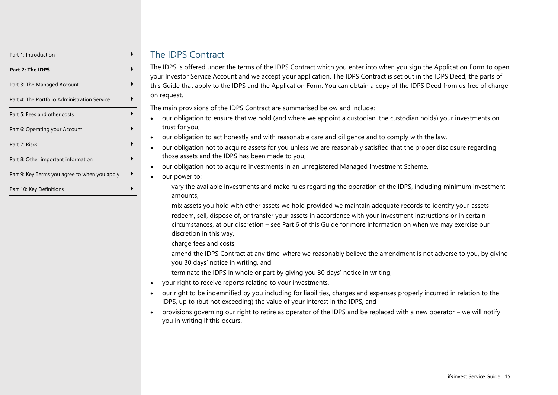| Part 1: Introduction                          |  |
|-----------------------------------------------|--|
| Part 2: The IDPS                              |  |
| Part 3: The Managed Account                   |  |
| Part 4: The Portfolio Administration Service  |  |
| Part 5: Fees and other costs                  |  |
| Part 6: Operating your Account                |  |
| Part 7: Risks                                 |  |
| Part 8: Other important information           |  |
| Part 9: Key Terms you agree to when you apply |  |
| Part 10: Key Definitions                      |  |

## The IDPS Contract

The IDPS is offered under the terms of the IDPS Contract which you enter into when you sign the Application Form to open your Investor Service Account and we accept your application. The IDPS Contract is set out in the IDPS Deed, the parts of this Guide that apply to the IDPS and the Application Form. You can obtain a copy of the IDPS Deed from us free of charge on request.

The main provisions of the IDPS Contract are summarised below and include:

- our obligation to ensure that we hold (and where we appoint a custodian, the custodian holds) your investments on trust for you,
- our obligation to act honestly and with reasonable care and diligence and to comply with the law,
- our obligation not to acquire assets for you unless we are reasonably satisfied that the proper disclosure regarding those assets and the IDPS has been made to you,
- our obligation not to acquire investments in an unregistered Managed Investment Scheme,
- our power to:
- − vary the available investments and make rules regarding the operation of the IDPS, including minimum investment amounts,
- − mix assets you hold with other assets we hold provided we maintain adequate records to identify your assets
- − redeem, sell, dispose of, or transfer your assets in accordance with your investment instructions or in certain circumstances, at our discretion – see Part 6 of this Guide for more information on when we may exercise our discretion in this way,
- − charge fees and costs,
- − amend the IDPS Contract at any time, where we reasonably believe the amendment is not adverse to you, by giving you 30 days' notice in writing, and
- − terminate the IDPS in whole or part by giving you 30 days' notice in writing,
- your right to receive reports relating to your investments,
- our right to be indemnified by you including for liabilities, charges and expenses properly incurred in relation to the IDPS, up to (but not exceeding) the value of your interest in the IDPS, and
- provisions governing our right to retire as operator of the IDPS and be replaced with a new operator we will notify you in writing if this occurs.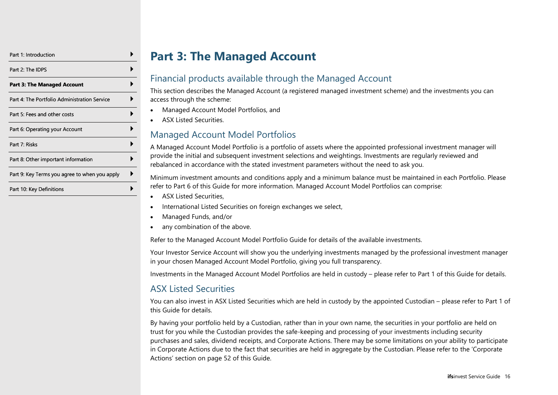| Part 1: Introduction                          |  |
|-----------------------------------------------|--|
| Part 2: The IDPS                              |  |
| Part 3: The Managed Account                   |  |
| Part 4: The Portfolio Administration Service  |  |
| Part 5: Fees and other costs                  |  |
| Part 6: Operating your Account                |  |
| Part 7: Risks                                 |  |
| Part 8: Other important information           |  |
| Part 9: Key Terms you agree to when you apply |  |
| Part 10: Key Definitions                      |  |

# **Part 3: The Managed Account**

## <span id="page-15-0"></span>Financial products available through the Managed Account

This section describes the Managed Account (a registered managed investment scheme) and the investments you can access through the scheme:

- Managed Account Model Portfolios, and
- ASX Listed Securities.

## Managed Account Model Portfolios

A Managed Account Model Portfolio is a portfolio of assets where the appointed professional investment manager will provide the initial and subsequent investment selections and weightings. Investments are regularly reviewed and rebalanced in accordance with the stated investment parameters without the need to ask you.

Minimum investment amounts and conditions apply and a minimum balance must be maintained in each Portfolio. Please refer to Part 6 of this Guide for more information. Managed Account Model Portfolios can comprise:

- ASX Listed Securities,
- International Listed Securities on foreign exchanges we select,
- Managed Funds, and/or
- any combination of the above.

Refer to the Managed Account Model Portfolio Guide for details of the available investments.

Your Investor Service Account will show you the underlying investments managed by the professional investment manager in your chosen Managed Account Model Portfolio, giving you full transparency.

Investments in the Managed Account Model Portfolios are held in custody – please refer to Part 1 of this Guide for details.

## ASX Listed Securities

You can also invest in ASX Listed Securities which are held in custody by the appointed Custodian – please refer to Part 1 of this Guide for details.

By having your portfolio held by a Custodian, rather than in your own name, the securities in your portfolio are held on trust for you while the Custodian provides the safe-keeping and processing of your investments including security purchases and sales, dividend receipts, and Corporate Actions. There may be some limitations on your ability to participate in Corporate Actions due to the fact that securities are held in aggregate by the Custodian. Please refer to the 'Corporate Actions' section on page [52](#page-51-0) of this Guide.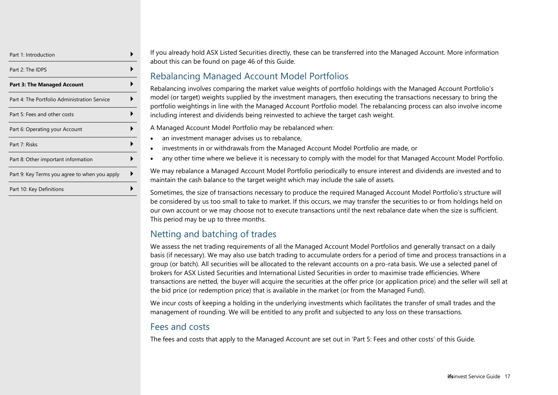| Part 1: Introduction                          |  |
|-----------------------------------------------|--|
| Part 2: The IDPS                              |  |
| <b>Part 3: The Managed Account</b>            |  |
| Part 4: The Portfolio Administration Service  |  |
| Part 5: Fees and other costs                  |  |
| Part 6: Operating your Account                |  |
| Part 7: Risks                                 |  |
| Part 8: Other important information           |  |
| Part 9: Key Terms you agree to when you apply |  |
| Part 10: Key Definitions                      |  |

If you already hold ASX Listed Securities directly, these can be transferred into the Managed Account. More information about this can be found on page [46](#page-45-0) of this Guide.

## Rebalancing Managed Account Model Portfolios

Rebalancing involves comparing the market value weights of portfolio holdings with the Managed Account Portfolio's model (or target) weights supplied by the investment managers, then executing the transactions necessary to bring the portfolio weightings in line with the Managed Account Portfolio model. The rebalancing process can also involve income including interest and dividends being reinvested to achieve the target cash weight.

A Managed Account Model Portfolio may be rebalanced when:

- an investment manager advises us to rebalance,
- investments in or withdrawals from the Managed Account Model Portfolio are made, or
- any other time where we believe it is necessary to comply with the model for that Managed Account Model Portfolio.

We may rebalance a Managed Account Model Portfolio periodically to ensure interest and dividends are invested and to maintain the cash balance to the target weight which may include the sale of assets.

Sometimes, the size of transactions necessary to produce the required Managed Account Model Portfolio's structure will be considered by us too small to take to market. If this occurs, we may transfer the securities to or from holdings held on our own account or we may choose not to execute transactions until the next rebalance date when the size is sufficient. This period may be up to three months.

## Netting and batching of trades

We assess the net trading requirements of all the Managed Account Model Portfolios and generally transact on a daily basis (if necessary). We may also use batch trading to accumulate orders for a period of time and process transactions in a group (or batch). All securities will be allocated to the relevant accounts on a pro-rata basis. We use a selected panel of brokers for ASX Listed Securities and International Listed Securities in order to maximise trade efficiencies. Where transactions are netted, the buyer will acquire the securities at the offer price (or application price) and the seller will sell at the bid price (or redemption price) that is available in the market (or from the Managed Fund).

We incur costs of keeping a holding in the underlying investments which facilitates the transfer of small trades and the management of rounding. We will be entitled to any profit and subjected to any loss on these transactions.

## Fees and costs

The fees and costs that apply to the Managed Account are set out in 'Part 5: Fees and other costs' of this Guide.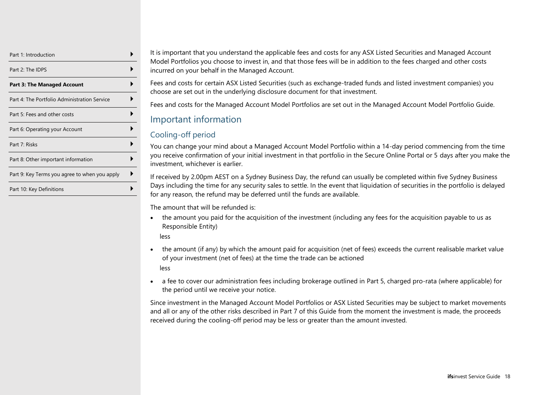| Part 1: Introduction                          |  |
|-----------------------------------------------|--|
| Part 2: The IDPS                              |  |
| <b>Part 3: The Managed Account</b>            |  |
| Part 4: The Portfolio Administration Service  |  |
| Part 5: Fees and other costs                  |  |
| Part 6: Operating your Account                |  |
| Part 7: Risks                                 |  |
| Part 8: Other important information           |  |
| Part 9: Key Terms you agree to when you apply |  |
| Part 10: Key Definitions                      |  |

It is important that you understand the applicable fees and costs for any ASX Listed Securities and Managed Account Model Portfolios you choose to invest in, and that those fees will be in addition to the fees charged and other costs incurred on your behalf in the Managed Account.

Fees and costs for certain ASX Listed Securities (such as exchange-traded funds and listed investment companies) you choose are set out in the underlying disclosure document for that investment.

Fees and costs for the Managed Account Model Portfolios are set out in the Managed Account Model Portfolio Guide.

## Important information

#### Cooling-off period

You can change your mind about a Managed Account Model Portfolio within a 14-day period commencing from the time you receive confirmation of your initial investment in that portfolio in the Secure Online Portal or 5 days after you make the investment, whichever is earlier.

If received by 2.00pm AEST on a Sydney Business Day, the refund can usually be completed within five Sydney Business Days including the time for any security sales to settle. In the event that liquidation of securities in the portfolio is delayed for any reason, the refund may be deferred until the funds are available.

The amount that will be refunded is:

• the amount you paid for the acquisition of the investment (including any fees for the acquisition payable to us as Responsible Entity)

less

- the amount (if any) by which the amount paid for acquisition (net of fees) exceeds the current realisable market value of your investment (net of fees) at the time the trade can be actioned less
- a fee to cover our administration fees including brokerage outlined in Part 5, charged pro-rata (where applicable) for the period until we receive your notice.

Since investment in the Managed Account Model Portfolios or ASX Listed Securities may be subject to market movements and all or any of the other risks described in Part 7 of this Guide from the moment the investment is made, the proceeds received during the cooling-off period may be less or greater than the amount invested.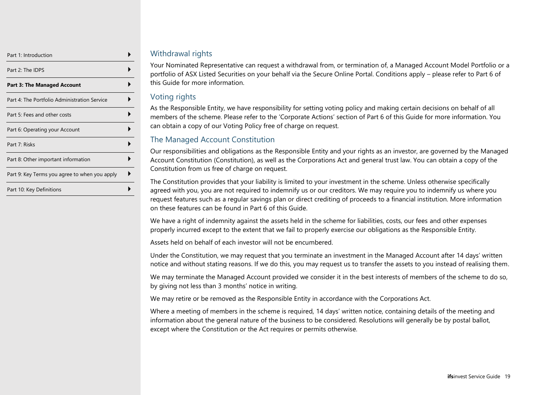| Part 1: Introduction                          |  |
|-----------------------------------------------|--|
| Part 2: The IDPS                              |  |
| Part 3: The Managed Account                   |  |
| Part 4: The Portfolio Administration Service  |  |
| Part 5: Fees and other costs                  |  |
| Part 6: Operating your Account                |  |
| Part 7: Risks                                 |  |
| Part 8: Other important information           |  |
| Part 9: Key Terms you agree to when you apply |  |
| Part 10: Key Definitions                      |  |

#### Withdrawal rights

Your Nominated Representative can request a withdrawal from, or termination of, a Managed Account Model Portfolio or a portfolio of ASX Listed Securities on your behalf via the Secure Online Portal. Conditions apply – please refer to Part 6 of this Guide for more information.

#### Voting rights

As the Responsible Entity, we have responsibility for setting voting policy and making certain decisions on behalf of all members of the scheme. Please refer to the 'Corporate Actions' section of Part 6 of this Guide for more information. You can obtain a copy of our Voting Policy free of charge on request.

#### The Managed Account Constitution

Our responsibilities and obligations as the Responsible Entity and your rights as an investor, are governed by the Managed Account Constitution (Constitution), as well as the Corporations Act and general trust law. You can obtain a copy of the Constitution from us free of charge on request.

The Constitution provides that your liability is limited to your investment in the scheme. Unless otherwise specifically agreed with you, you are not required to indemnify us or our creditors. We may require you to indemnify us where you request features such as a regular savings plan or direct crediting of proceeds to a financial institution. More information on these features can be found in Part 6 of this Guide.

We have a right of indemnity against the assets held in the scheme for liabilities, costs, our fees and other expenses properly incurred except to the extent that we fail to properly exercise our obligations as the Responsible Entity.

Assets held on behalf of each investor will not be encumbered.

Under the Constitution, we may request that you terminate an investment in the Managed Account after 14 days' written notice and without stating reasons. If we do this, you may request us to transfer the assets to you instead of realising them.

We may terminate the Managed Account provided we consider it in the best interests of members of the scheme to do so, by giving not less than 3 months' notice in writing.

We may retire or be removed as the Responsible Entity in accordance with the Corporations Act.

Where a meeting of members in the scheme is required, 14 days' written notice, containing details of the meeting and information about the general nature of the business to be considered. Resolutions will generally be by postal ballot, except where the Constitution or the Act requires or permits otherwise.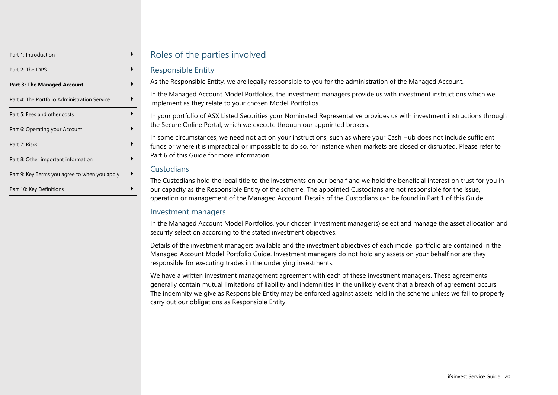| Part 1: Introduction                          |  |
|-----------------------------------------------|--|
| Part 2: The IDPS                              |  |
| <b>Part 3: The Managed Account</b>            |  |
| Part 4: The Portfolio Administration Service  |  |
| Part 5: Fees and other costs                  |  |
| Part 6: Operating your Account                |  |
| Part 7: Risks                                 |  |
| Part 8: Other important information           |  |
| Part 9: Key Terms you agree to when you apply |  |
| Part 10: Key Definitions                      |  |

## Roles of the parties involved

#### Responsible Entity

As the Responsible Entity, we are legally responsible to you for the administration of the Managed Account.

In the Managed Account Model Portfolios, the investment managers provide us with investment instructions which we implement as they relate to your chosen Model Portfolios.

In your portfolio of ASX Listed Securities your Nominated Representative provides us with investment instructions through the Secure Online Portal, which we execute through our appointed brokers.

In some circumstances, we need not act on your instructions, such as where your Cash Hub does not include sufficient funds or where it is impractical or impossible to do so, for instance when markets are closed or disrupted. Please refer to Part 6 of this Guide for more information.

#### Custodians

The Custodians hold the legal title to the investments on our behalf and we hold the beneficial interest on trust for you in our capacity as the Responsible Entity of the scheme. The appointed Custodians are not responsible for the issue, operation or management of the Managed Account. Details of the Custodians can be found in Part 1 of this Guide.

#### Investment managers

In the Managed Account Model Portfolios, your chosen investment manager(s) select and manage the asset allocation and security selection according to the stated investment objectives.

Details of the investment managers available and the investment objectives of each model portfolio are contained in the Managed Account Model Portfolio Guide. Investment managers do not hold any assets on your behalf nor are they responsible for executing trades in the underlying investments.

We have a written investment management agreement with each of these investment managers. These agreements generally contain mutual limitations of liability and indemnities in the unlikely event that a breach of agreement occurs. The indemnity we give as Responsible Entity may be enforced against assets held in the scheme unless we fail to properly carry out our obligations as Responsible Entity.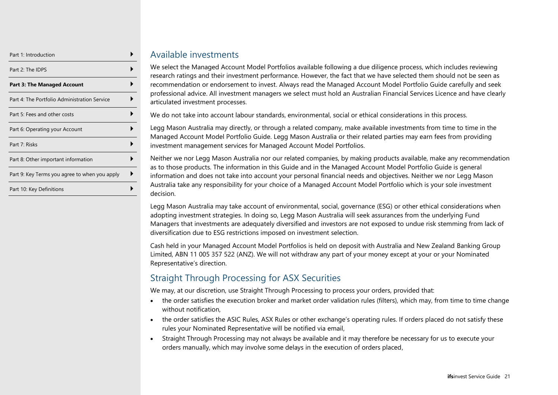| Part 1: Introduction                          |  |
|-----------------------------------------------|--|
| Part 2: The IDPS                              |  |
| <b>Part 3: The Managed Account</b>            |  |
| Part 4: The Portfolio Administration Service  |  |
| Part 5: Fees and other costs                  |  |
| Part 6: Operating your Account                |  |
| Part 7: Risks                                 |  |
| Part 8: Other important information           |  |
| Part 9: Key Terms you agree to when you apply |  |
| Part 10: Key Definitions                      |  |

#### Available investments

We select the Managed Account Model Portfolios available following a due diligence process, which includes reviewing research ratings and their investment performance. However, the fact that we have selected them should not be seen as recommendation or endorsement to invest. Always read the Managed Account Model Portfolio Guide carefully and seek professional advice. All investment managers we select must hold an Australian Financial Services Licence and have clearly articulated investment processes.

We do not take into account labour standards, environmental, social or ethical considerations in this process.

Legg Mason Australia may directly, or through a related company, make available investments from time to time in the Managed Account Model Portfolio Guide. Legg Mason Australia or their related parties may earn fees from providing investment management services for Managed Account Model Portfolios.

Neither we nor Legg Mason Australia nor our related companies, by making products available, make any recommendation as to those products. The information in this Guide and in the Managed Account Model Portfolio Guide is general information and does not take into account your personal financial needs and objectives. Neither we nor Legg Mason Australia take any responsibility for your choice of a Managed Account Model Portfolio which is your sole investment decision.

Legg Mason Australia may take account of environmental, social, governance (ESG) or other ethical considerations when adopting investment strategies. In doing so, Legg Mason Australia will seek assurances from the underlying Fund Managers that investments are adequately diversified and investors are not exposed to undue risk stemming from lack of diversification due to ESG restrictions imposed on investment selection.

Cash held in your Managed Account Model Portfolios is held on deposit with Australia and New Zealand Banking Group Limited, ABN 11 005 357 522 (ANZ). We will not withdraw any part of your money except at your or your Nominated Representative's direction.

## Straight Through Processing for ASX Securities

We may, at our discretion, use Straight Through Processing to process your orders, provided that:

- the order satisfies the execution broker and market order validation rules (filters), which may, from time to time change without notification,
- the order satisfies the ASIC Rules, ASX Rules or other exchange's operating rules. If orders placed do not satisfy these rules your Nominated Representative will be notified via email,
- Straight Through Processing may not always be available and it may therefore be necessary for us to execute your orders manually, which may involve some delays in the execution of orders placed,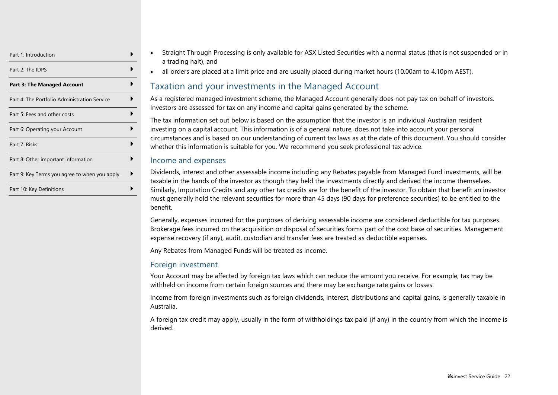| Part 1: Introduction                          |  |
|-----------------------------------------------|--|
| Part 2: The IDPS                              |  |
| <b>Part 3: The Managed Account</b>            |  |
| Part 4: The Portfolio Administration Service  |  |
| Part 5: Fees and other costs                  |  |
| Part 6: Operating your Account                |  |
| Part 7: Risks                                 |  |
| Part 8: Other important information           |  |
| Part 9: Key Terms you agree to when you apply |  |
| Part 10: Key Definitions                      |  |

- Straight Through Processing is only available for ASX Listed Securities with a normal status (that is not suspended or in a trading halt), and
	- all orders are placed at a limit price and are usually placed during market hours (10.00am to 4.10pm AEST).

## Taxation and your investments in the Managed Account

As a registered managed investment scheme, the Managed Account generally does not pay tax on behalf of investors. Investors are assessed for tax on any income and capital gains generated by the scheme.

The tax information set out below is based on the assumption that the investor is an individual Australian resident investing on a capital account. This information is of a general nature, does not take into account your personal circumstances and is based on our understanding of current tax laws as at the date of this document. You should consider whether this information is suitable for you. We recommend you seek professional tax advice.

#### Income and expenses

Dividends, interest and other assessable income including any Rebates payable from Managed Fund investments, will be taxable in the hands of the investor as though they held the investments directly and derived the income themselves. Similarly, Imputation Credits and any other tax credits are for the benefit of the investor. To obtain that benefit an investor must generally hold the relevant securities for more than 45 days (90 days for preference securities) to be entitled to the benefit.

Generally, expenses incurred for the purposes of deriving assessable income are considered deductible for tax purposes. Brokerage fees incurred on the acquisition or disposal of securities forms part of the cost base of securities. Management expense recovery (if any), audit, custodian and transfer fees are treated as deductible expenses.

Any Rebates from Managed Funds will be treated as income.

#### Foreign investment

Your Account may be affected by foreign tax laws which can reduce the amount you receive. For example, tax may be withheld on income from certain foreign sources and there may be exchange rate gains or losses.

Income from foreign investments such as foreign dividends, interest, distributions and capital gains, is generally taxable in Australia.

A foreign tax credit may apply, usually in the form of withholdings tax paid (if any) in the country from which the income is derived.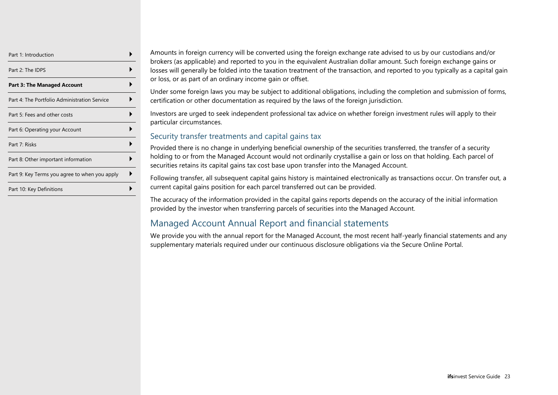| Part 1: Introduction                          |  |
|-----------------------------------------------|--|
| Part 2: The IDPS                              |  |
| <b>Part 3: The Managed Account</b>            |  |
| Part 4: The Portfolio Administration Service  |  |
| Part 5: Fees and other costs                  |  |
| Part 6: Operating your Account                |  |
| Part 7: Risks                                 |  |
| Part 8: Other important information           |  |
| Part 9: Key Terms you agree to when you apply |  |
| Part 10: Key Definitions                      |  |

Amounts in foreign currency will be converted using the foreign exchange rate advised to us by our custodians and/or brokers (as applicable) and reported to you in the equivalent Australian dollar amount. Such foreign exchange gains or losses will generally be folded into the taxation treatment of the transaction, and reported to you typically as a capital gain or loss, or as part of an ordinary income gain or offset.

Under some foreign laws you may be subject to additional obligations, including the completion and submission of forms, certification or other documentation as required by the laws of the foreign jurisdiction.

Investors are urged to seek independent professional tax advice on whether foreign investment rules will apply to their particular circumstances.

#### Security transfer treatments and capital gains tax

Provided there is no change in underlying beneficial ownership of the securities transferred, the transfer of a security holding to or from the Managed Account would not ordinarily crystallise a gain or loss on that holding. Each parcel of securities retains its capital gains tax cost base upon transfer into the Managed Account.

Following transfer, all subsequent capital gains history is maintained electronically as transactions occur. On transfer out, a current capital gains position for each parcel transferred out can be provided.

The accuracy of the information provided in the capital gains reports depends on the accuracy of the initial information provided by the investor when transferring parcels of securities into the Managed Account.

## Managed Account Annual Report and financial statements

We provide you with the annual report for the Managed Account, the most recent half-yearly financial statements and any supplementary materials required under our continuous disclosure obligations via the Secure Online Portal.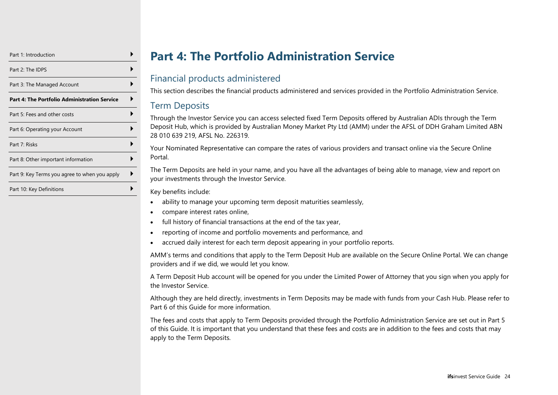| Part 1: Introduction                          |  |
|-----------------------------------------------|--|
| Part 2: The IDPS                              |  |
| Part 3: The Managed Account                   |  |
| Part 4: The Portfolio Administration Service  |  |
| Part 5: Fees and other costs                  |  |
| Part 6: Operating your Account                |  |
| Part 7: Risks                                 |  |
| Part 8: Other important information           |  |
| Part 9: Key Terms you agree to when you apply |  |
| Part 10: Key Definitions                      |  |

# **Part 4: The Portfolio Administration Service**

## <span id="page-23-0"></span>Financial products administered

This section describes the financial products administered and services provided in the Portfolio Administration Service.

#### Term Deposits

Through the Investor Service you can access selected fixed Term Deposits offered by Australian ADIs through the Term Deposit Hub, which is provided by Australian Money Market Pty Ltd (AMM) under the AFSL of DDH Graham Limited ABN 28 010 639 219, AFSL No. 226319.

Your Nominated Representative can compare the rates of various providers and transact online via the Secure Online Portal.

The Term Deposits are held in your name, and you have all the advantages of being able to manage, view and report on your investments through the Investor Service.

Key benefits include:

- ability to manage your upcoming term deposit maturities seamlessly,
- compare interest rates online,
- full history of financial transactions at the end of the tax year,
- reporting of income and portfolio movements and performance, and
- accrued daily interest for each term deposit appearing in your portfolio reports.

AMM's terms and conditions that apply to the Term Deposit Hub are available on the Secure Online Portal. We can change providers and if we did, we would let you know.

A Term Deposit Hub account will be opened for you under the Limited Power of Attorney that you sign when you apply for the Investor Service.

Although they are held directly, investments in Term Deposits may be made with funds from your Cash Hub. Please refer to Part 6 of this Guide for more information.

The fees and costs that apply to Term Deposits provided through the Portfolio Administration Service are set out in Part 5 of this Guide. It is important that you understand that these fees and costs are in addition to the fees and costs that may apply to the Term Deposits.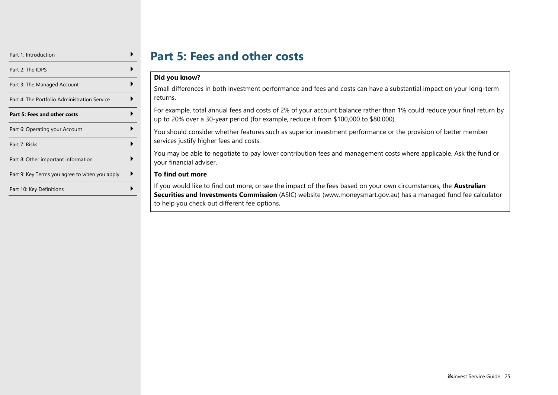| Part 1: Introduction                          |  |
|-----------------------------------------------|--|
| Part 2: The IDPS                              |  |
| Part 3: The Managed Account                   |  |
| Part 4: The Portfolio Administration Service  |  |
| Part 5: Fees and other costs                  |  |
| Part 6: Operating your Account                |  |
| Part 7: Risks                                 |  |
| Part 8: Other important information           |  |
| Part 9: Key Terms you agree to when you apply |  |
| Part 10: Key Definitions                      |  |

## **Part 5: Fees and other costs**

#### <span id="page-24-0"></span>**Did you know?**

Small differences in both investment performance and fees and costs can have a substantial impact on your long-term returns.

For example, total annual fees and costs of 2% of your account balance rather than 1% could reduce your final return by up to 20% over a 30-year period (for example, reduce it from \$100,000 to \$80,000).

You should consider whether features such as superior investment performance or the provision of better member services justify higher fees and costs.

You may be able to negotiate to pay lower contribution fees and management costs where applicable. Ask the fund or your financial adviser.

#### **To find out more**

If you would like to find out more, or see the impact of the fees based on your own circumstances, the **Australian Securities and Investments Commission** (ASIC) website (www.moneysmart.gov.au) has a managed fund fee calculator to help you check out different fee options.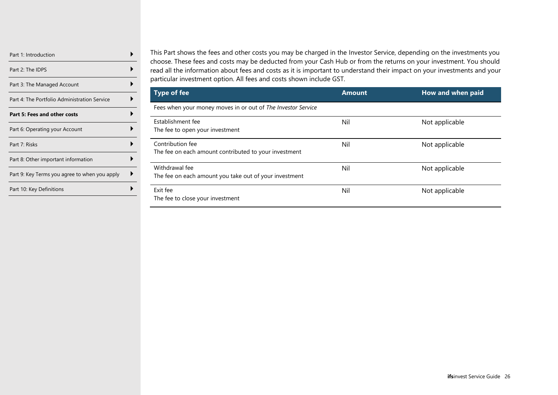| Part 1: Introduction                          |  |
|-----------------------------------------------|--|
| Part 2: The IDPS                              |  |
| Part 3: The Managed Account                   |  |
| Part 4: The Portfolio Administration Service  |  |
| Part 5: Fees and other costs                  |  |
| Part 6: Operating your Account                |  |
| Part 7: Risks                                 |  |
| Part 8: Other important information           |  |
| Part 9: Key Terms you agree to when you apply |  |
| Part 10: Key Definitions                      |  |
|                                               |  |

This Part shows the fees and other costs you may be charged in the Investor Service, depending on the investments you choose. These fees and costs may be deducted from your Cash Hub or from the returns on your investment. You should read all the information about fees and costs as it is important to understand their impact on your investments and your particular investment option. All fees and costs shown include GST.

| Type of fee                                                               | <b>Amount</b> | How and when paid |
|---------------------------------------------------------------------------|---------------|-------------------|
| Fees when your money moves in or out of The Investor Service              |               |                   |
| Establishment fee<br>The fee to open your investment                      | Nil           | Not applicable    |
| Contribution fee<br>The fee on each amount contributed to your investment | Nil           | Not applicable    |
| Withdrawal fee<br>The fee on each amount you take out of your investment  | Nil           | Not applicable    |
| Exit fee<br>The fee to close your investment                              | Nil           | Not applicable    |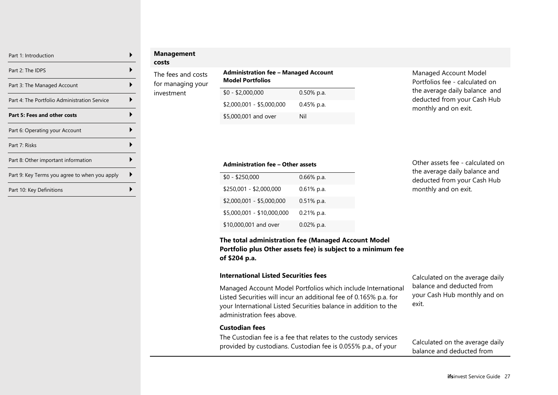| Part 1: Introduction                          |  |
|-----------------------------------------------|--|
| Part 2: The IDPS                              |  |
| Part 3: The Managed Account                   |  |
| Part 4: The Portfolio Administration Service  |  |
| <b>Part 5: Fees and other costs</b>           |  |
| Part 6: Operating your Account                |  |
| Part 7: Risks                                 |  |
| Part 8: Other important information           |  |
| Part 9: Key Terms you agree to when you apply |  |
| Part 10: Key Definitions                      |  |

### **Management**

**costs**

The fees and costs for managing your investment

#### **Administration fee – Managed Account Model Portfolios**

| $$0 - $2,000,000$         | $0.50\%$ p.a. |
|---------------------------|---------------|
| $$2,000,001 - $5,000,000$ | $0.45\%$ p.a. |
| \$5,000,001 and over      | Nil           |

Managed Account Model Portfolios fee - calculated on the average daily balance and deducted from your Cash Hub monthly and on exit.

#### **Administration fee – Other assets**

| $$0 - $250,000$            | $0.66\%$ p.a. |
|----------------------------|---------------|
| \$250,001 - \$2,000,000    | $0.61\%$ p.a. |
| \$2,000,001 - \$5,000,000  | $0.51\%$ p.a. |
| \$5,000,001 - \$10,000,000 | $0.21\%$ p.a. |
| \$10,000,001 and over      | $0.02\%$ p.a. |

#### Other assets fee - calculated on the average daily balance and deducted from your Cash Hub monthly and on exit.

#### **The total administration fee (Managed Account Model Portfolio plus Other assets fee) is subject to a minimum fee of \$204 p.a.**

#### **International Listed Securities fees**

Managed Account Model Portfolios which include International Listed Securities will incur an additional fee of 0.165% p.a. for your International Listed Securities balance in addition to the administration fees above.

Calculated on the average daily balance and deducted from your Cash Hub monthly and on exit.

#### **Custodian fees**

The Custodian fee is a fee that relates to the custody services provided by custodians. Custodian fee is 0.055% p.a., of your

Calculated on the average daily balance and deducted from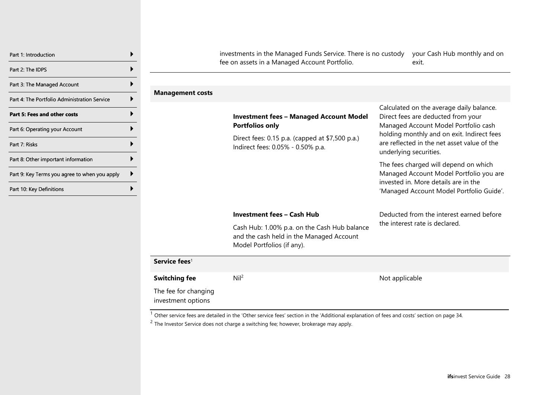| Part 1: Introduction                          |  |
|-----------------------------------------------|--|
| Part 2: The IDPS                              |  |
| Part 3: The Managed Account                   |  |
| Part 4: The Portfolio Administration Service  |  |
| <b>Part 5: Fees and other costs</b>           |  |
| Part 6: Operating your Account                |  |
| Part 7: Risks                                 |  |
| Part 8: Other important information           |  |
| Part 9: Key Terms you agree to when you apply |  |
| Part 10: Key Definitions                      |  |

investments in the Managed Funds Service. There is no custody your Cash Hub monthly and on fee on assets in a Managed Account Portfolio. exit.

**Management costs**

|                                            | <b>Investment fees - Managed Account Model</b><br><b>Portfolios only</b><br>Direct fees: 0.15 p.a. (capped at \$7,500 p.a.)<br>Indirect fees: 0.05% - 0.50% p.a. | Calculated on the average daily balance.<br>Direct fees are deducted from your<br>Managed Account Model Portfolio cash<br>holding monthly and on exit. Indirect fees<br>are reflected in the net asset value of the<br>underlying securities. |  |
|--------------------------------------------|------------------------------------------------------------------------------------------------------------------------------------------------------------------|-----------------------------------------------------------------------------------------------------------------------------------------------------------------------------------------------------------------------------------------------|--|
|                                            |                                                                                                                                                                  | The fees charged will depend on which<br>Managed Account Model Portfolio you are<br>invested in. More details are in the<br>'Managed Account Model Portfolio Guide'.                                                                          |  |
|                                            | <b>Investment fees - Cash Hub</b>                                                                                                                                | Deducted from the interest earned before                                                                                                                                                                                                      |  |
|                                            | Cash Hub: 1.00% p.a. on the Cash Hub balance<br>and the cash held in the Managed Account<br>Model Portfolios (if any).                                           | the interest rate is declared.                                                                                                                                                                                                                |  |
| Service fees <sup>1</sup>                  |                                                                                                                                                                  |                                                                                                                                                                                                                                               |  |
| <b>Switching fee</b>                       | Nil <sup>2</sup>                                                                                                                                                 | Not applicable                                                                                                                                                                                                                                |  |
| The fee for changing<br>investment options |                                                                                                                                                                  |                                                                                                                                                                                                                                               |  |

 $1$  Other service fees are detailed in the 'Other service fees' section in the 'Additional explanation of fees and costs' section on pag[e 34.](#page-33-0)

 $2$  The Investor Service does not charge a switching fee; however, brokerage may apply.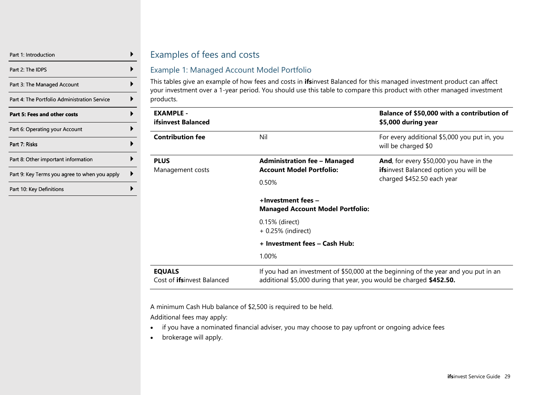| Part 1: Introduction                          |  |
|-----------------------------------------------|--|
| Part 2: The IDPS                              |  |
| Part 3: The Managed Account                   |  |
| Part 4: The Portfolio Administration Service  |  |
| <b>Part 5: Fees and other costs</b>           |  |
| Part 6: Operating your Account                |  |
| Part 7: Risks                                 |  |
| Part 8: Other important information           |  |
| Part 9: Key Terms you agree to when you apply |  |
| Part 10: Key Definitions                      |  |

## Examples of fees and costs

#### Example 1: Managed Account Model Portfolio

This tables give an example of how fees and costs in **ifs**invest Balanced for this managed investment product can affect your investment over a 1-year period. You should use this table to compare this product with other managed investment products.

| <b>EXAMPLE -</b><br><b>ifsinvest Balanced</b>       |                                                                                                                                                            | Balance of \$50,000 with a contribution of<br>\$5,000 during year                                                     |  |  |
|-----------------------------------------------------|------------------------------------------------------------------------------------------------------------------------------------------------------------|-----------------------------------------------------------------------------------------------------------------------|--|--|
| <b>Contribution fee</b>                             | Nil                                                                                                                                                        | For every additional \$5,000 you put in, you<br>will be charged \$0                                                   |  |  |
| <b>PLUS</b><br>Management costs                     | <b>Administration fee - Managed</b><br><b>Account Model Portfolio:</b><br>0.50%                                                                            | And, for every \$50,000 you have in the<br><b>ifsinvest Balanced option you will be</b><br>charged \$452.50 each year |  |  |
|                                                     | +Investment fees -<br><b>Managed Account Model Portfolio:</b>                                                                                              |                                                                                                                       |  |  |
|                                                     | 0.15% (direct)<br>+ 0.25% (indirect)                                                                                                                       |                                                                                                                       |  |  |
|                                                     | + Investment fees - Cash Hub:                                                                                                                              |                                                                                                                       |  |  |
|                                                     | 1.00%                                                                                                                                                      |                                                                                                                       |  |  |
| <b>EQUALS</b><br>Cost of <b>ifs</b> invest Balanced | If you had an investment of \$50,000 at the beginning of the year and you put in an<br>additional \$5,000 during that year, you would be charged \$452.50. |                                                                                                                       |  |  |

A minimum Cash Hub balance of \$2,500 is required to be held.

Additional fees may apply:

- if you have a nominated financial adviser, you may choose to pay upfront or ongoing advice fees
- brokerage will apply.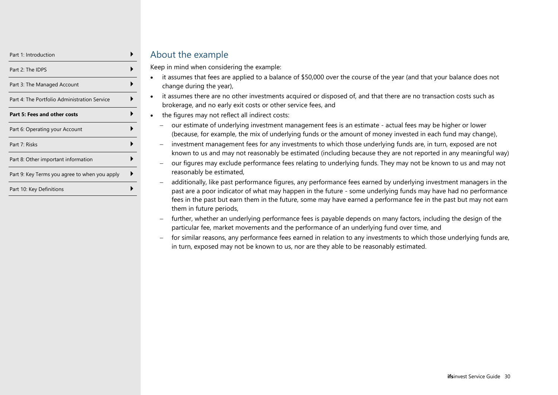| Part 1: Introduction                          |  |
|-----------------------------------------------|--|
| Part 2: The IDPS                              |  |
| Part 3: The Managed Account                   |  |
| Part 4: The Portfolio Administration Service  |  |
| Part 5: Fees and other costs                  |  |
| Part 6: Operating your Account                |  |
| Part 7: Risks                                 |  |
| Part 8: Other important information           |  |
| Part 9: Key Terms you agree to when you apply |  |
| Part 10: Key Definitions                      |  |

## About the example

Keep in mind when considering the example:

- it assumes that fees are applied to a balance of \$50,000 over the course of the year (and that your balance does not change during the year),
- it assumes there are no other investments acquired or disposed of, and that there are no transaction costs such as brokerage, and no early exit costs or other service fees, and
- the figures may not reflect all indirect costs:
	- − our estimate of underlying investment management fees is an estimate actual fees may be higher or lower (because, for example, the mix of underlying funds or the amount of money invested in each fund may change),
	- − investment management fees for any investments to which those underlying funds are, in turn, exposed are not known to us and may not reasonably be estimated (including because they are not reported in any meaningful way)
	- − our figures may exclude performance fees relating to underlying funds. They may not be known to us and may not reasonably be estimated,
	- − additionally, like past performance figures, any performance fees earned by underlying investment managers in the past are a poor indicator of what may happen in the future - some underlying funds may have had no performance fees in the past but earn them in the future, some may have earned a performance fee in the past but may not earn them in future periods,
	- − further, whether an underlying performance fees is payable depends on many factors, including the design of the particular fee, market movements and the performance of an underlying fund over time, and
	- − for similar reasons, any performance fees earned in relation to any investments to which those underlying funds are, in turn, exposed may not be known to us, nor are they able to be reasonably estimated.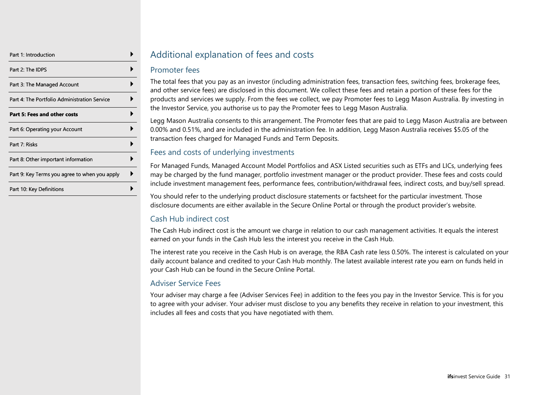| Part 1: Introduction                          |  |
|-----------------------------------------------|--|
| Part 2: The IDPS                              |  |
| Part 3: The Managed Account                   |  |
| Part 4: The Portfolio Administration Service  |  |
| Part 5: Fees and other costs                  |  |
| Part 6: Operating your Account                |  |
| Part 7: Risks                                 |  |
| Part 8: Other important information           |  |
| Part 9: Key Terms you agree to when you apply |  |
| Part 10: Key Definitions                      |  |

## Additional explanation of fees and costs

#### Promoter fees

The total fees that you pay as an investor (including administration fees, transaction fees, switching fees, brokerage fees, and other service fees) are disclosed in this document. We collect these fees and retain a portion of these fees for the products and services we supply. From the fees we collect, we pay Promoter fees to Legg Mason Australia. By investing in the Investor Service, you authorise us to pay the Promoter fees to Legg Mason Australia.

Legg Mason Australia consents to this arrangement. The Promoter fees that are paid to Legg Mason Australia are between 0.00% and 0.51%, and are included in the administration fee. In addition, Legg Mason Australia receives \$5.05 of the transaction fees charged for Managed Funds and Term Deposits.

#### Fees and costs of underlying investments

For Managed Funds, Managed Account Model Portfolios and ASX Listed securities such as ETFs and LICs, underlying fees may be charged by the fund manager, portfolio investment manager or the product provider. These fees and costs could include investment management fees, performance fees, contribution/withdrawal fees, indirect costs, and buy/sell spread.

You should refer to the underlying product disclosure statements or factsheet for the particular investment. Those disclosure documents are either available in the Secure Online Portal or through the product provider's website.

## Cash Hub indirect cost

The Cash Hub indirect cost is the amount we charge in relation to our cash management activities. It equals the interest earned on your funds in the Cash Hub less the interest you receive in the Cash Hub.

The interest rate you receive in the Cash Hub is on average, the RBA Cash rate less 0.50%. The interest is calculated on your daily account balance and credited to your Cash Hub monthly. The latest available interest rate you earn on funds held in your Cash Hub can be found in the Secure Online Portal.

## Adviser Service Fees

Your adviser may charge a fee (Adviser Services Fee) in addition to the fees you pay in the Investor Service. This is for you to agree with your adviser. Your adviser must disclose to you any benefits they receive in relation to your investment, this includes all fees and costs that you have negotiated with them.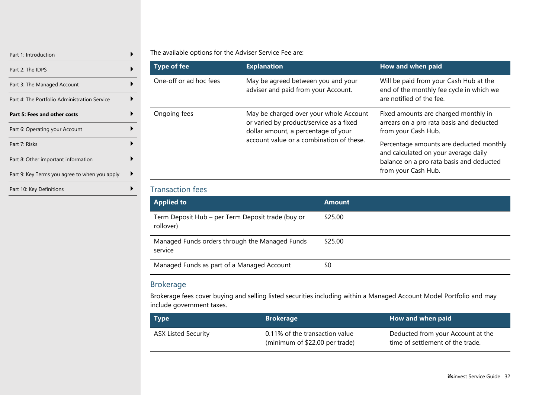| Part 1: Introduction                          |  |
|-----------------------------------------------|--|
| Part 2: The IDPS                              |  |
| Part 3: The Managed Account                   |  |
| Part 4: The Portfolio Administration Service  |  |
| Part 5: Fees and other costs                  |  |
| Part 6: Operating your Account                |  |
| Part 7: Risks                                 |  |
| Part 8: Other important information           |  |
| Part 9: Key Terms you agree to when you apply |  |
| Part 10: Key Definitions                      |  |

#### The available options for the Adviser Service Fee are:

| <b>Type of fee</b>     | <b>Explanation</b>                                                                                                                                                   | How and when paid                                                                                                                                  |
|------------------------|----------------------------------------------------------------------------------------------------------------------------------------------------------------------|----------------------------------------------------------------------------------------------------------------------------------------------------|
| One-off or ad hoc fees | May be agreed between you and your<br>adviser and paid from your Account.                                                                                            | Will be paid from your Cash Hub at the<br>end of the monthly fee cycle in which we<br>are notified of the fee.                                     |
| Ongoing fees           | May be charged over your whole Account<br>or varied by product/service as a fixed<br>dollar amount, a percentage of your<br>account value or a combination of these. | Fixed amounts are charged monthly in<br>arrears on a pro rata basis and deducted<br>from your Cash Hub.                                            |
|                        |                                                                                                                                                                      | Percentage amounts are deducted monthly<br>and calculated on your average daily<br>balance on a pro rata basis and deducted<br>from your Cash Hub. |

#### Transaction fees

| <b>Applied to</b>                                              | <b>Amount</b> |
|----------------------------------------------------------------|---------------|
| Term Deposit Hub – per Term Deposit trade (buy or<br>rollover) | \$25.00       |
| Managed Funds orders through the Managed Funds<br>service      | \$25.00       |
| Managed Funds as part of a Managed Account                     | \$0           |

#### Brokerage

Brokerage fees cover buying and selling listed securities including within a Managed Account Model Portfolio and may include government taxes.

| <b>Type</b>                | <b>Brokerage</b>                                                 | How and when paid                                                     |
|----------------------------|------------------------------------------------------------------|-----------------------------------------------------------------------|
| <b>ASX Listed Security</b> | 0.11% of the transaction value<br>(minimum of \$22.00 per trade) | Deducted from your Account at the<br>time of settlement of the trade. |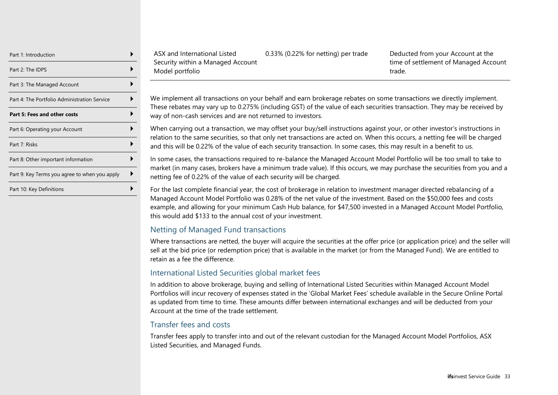| Part 1: Introduction                          |  |
|-----------------------------------------------|--|
| Part 2: The IDPS                              |  |
| Part 3: The Managed Account                   |  |
| Part 4: The Portfolio Administration Service  |  |
| Part 5: Fees and other costs                  |  |
| Part 6: Operating your Account                |  |
| Part 7: Risks                                 |  |
| Part 8: Other important information           |  |
| Part 9: Key Terms you agree to when you apply |  |
| Part 10: Key Definitions                      |  |

ASX and International Listed Security within a Managed Account Model portfolio

0.33% (0.22% for netting) per trade Deducted from your Account at the time of settlement of Managed Account trade.

We implement all transactions on your behalf and earn brokerage rebates on some transactions we directly implement. These rebates may vary up to 0.275% (including GST) of the value of each securities transaction. They may be received by way of non-cash services and are not returned to investors.

When carrying out a transaction, we may offset your buy/sell instructions against your, or other investor's instructions in relation to the same securities, so that only net transactions are acted on. When this occurs, a netting fee will be charged and this will be 0.22% of the value of each security transaction. In some cases, this may result in a benefit to us.

In some cases, the transactions required to re-balance the Managed Account Model Portfolio will be too small to take to market (in many cases, brokers have a minimum trade value). If this occurs, we may purchase the securities from you and a netting fee of 0.22% of the value of each security will be charged.

For the last complete financial year, the cost of brokerage in relation to investment manager directed rebalancing of a Managed Account Model Portfolio was 0.28% of the net value of the investment. Based on the \$50,000 fees and costs example, and allowing for your minimum Cash Hub balance, for \$47,500 invested in a Managed Account Model Portfolio, this would add \$133 to the annual cost of your investment.

#### Netting of Managed Fund transactions

Where transactions are netted, the buyer will acquire the securities at the offer price (or application price) and the seller will sell at the bid price (or redemption price) that is available in the market (or from the Managed Fund). We are entitled to retain as a fee the difference.

#### International Listed Securities global market fees

In addition to above brokerage, buying and selling of International Listed Securities within Managed Account Model Portfolios will incur recovery of expenses stated in the 'Global Market Fees' schedule available in the Secure Online Portal as updated from time to time. These amounts differ between international exchanges and will be deducted from your Account at the time of the trade settlement.

#### Transfer fees and costs

Transfer fees apply to transfer into and out of the relevant custodian for the Managed Account Model Portfolios, ASX Listed Securities, and Managed Funds.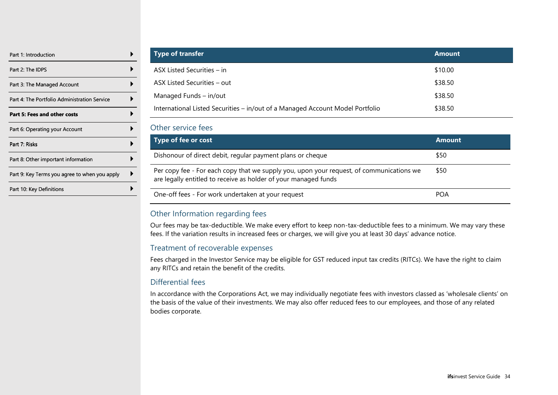| Part 1: Introduction                          |  |
|-----------------------------------------------|--|
| Part 2: The IDPS                              |  |
| Part 3: The Managed Account                   |  |
| Part 4: The Portfolio Administration Service  |  |
| Part 5: Fees and other costs                  |  |
| Part 6: Operating your Account                |  |
| Part 7: Risks                                 |  |
| Part 8: Other important information           |  |
| Part 9: Key Terms you agree to when you apply |  |
| Part 10: Key Definitions                      |  |
|                                               |  |

| <b>Type of transfer</b>                                                       | <b>Amount</b> |
|-------------------------------------------------------------------------------|---------------|
| $\overline{ASX}$ Listed Securities – in                                       | \$10.00       |
| ASX Listed Securities – out                                                   | \$38.50       |
| Managed Funds - in/out                                                        | \$38.50       |
| International Listed Securities - in/out of a Managed Account Model Portfolio | \$38.50       |

#### <span id="page-33-0"></span>Other service fees

| Type of fee or cost                                                                                                                                         | <b>Amount</b> |
|-------------------------------------------------------------------------------------------------------------------------------------------------------------|---------------|
| Dishonour of direct debit, regular payment plans or cheque                                                                                                  | \$50          |
| Per copy fee - For each copy that we supply you, upon your request, of communications we<br>are legally entitled to receive as holder of your managed funds | \$50          |
| One-off fees - For work undertaken at your request                                                                                                          | <b>POA</b>    |

#### Other Information regarding fees

Our fees may be tax-deductible. We make every effort to keep non-tax-deductible fees to a minimum. We may vary these fees. If the variation results in increased fees or charges, we will give you at least 30 days' advance notice.

#### Treatment of recoverable expenses

Fees charged in the Investor Service may be eligible for GST reduced input tax credits (RITCs). We have the right to claim any RITCs and retain the benefit of the credits.

#### Differential fees

In accordance with the Corporations Act, we may individually negotiate fees with investors classed as 'wholesale clients' on the basis of the value of their investments. We may also offer reduced fees to our employees, and those of any related bodies corporate.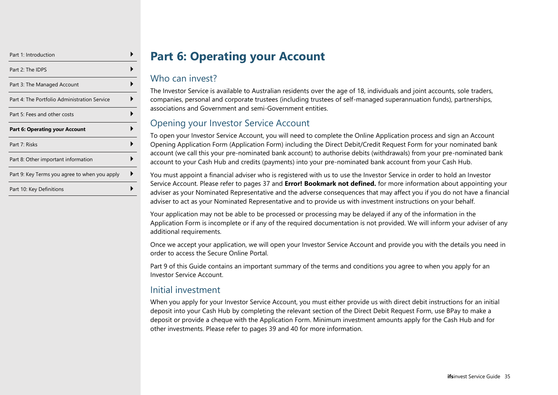| Part 1: Introduction                          |  |
|-----------------------------------------------|--|
| Part 2: The IDPS                              |  |
| Part 3: The Managed Account                   |  |
| Part 4: The Portfolio Administration Service  |  |
| Part 5: Fees and other costs                  |  |
| <b>Part 6: Operating your Account</b>         |  |
| Part 7: Risks                                 |  |
| Part 8: Other important information           |  |
| Part 9: Key Terms you agree to when you apply |  |
| Part 10: Key Definitions                      |  |

# **Part 6: Operating your Account**

## <span id="page-34-0"></span>Who can invest?

The Investor Service is available to Australian residents over the age of 18, individuals and joint accounts, sole traders, companies, personal and corporate trustees (including trustees of self-managed superannuation funds), partnerships, associations and Government and semi-Government entities.

## Opening your Investor Service Account

To open your Investor Service Account, you will need to complete the Online Application process and sign an Account Opening Application Form (Application Form) including the Direct Debit/Credit Request Form for your nominated bank account (we call this your pre-nominated bank account) to authorise debits (withdrawals) from your pre-nominated bank account to your Cash Hub and credits (payments) into your pre-nominated bank account from your Cash Hub.

You must appoint a financial adviser who is registered with us to use the Investor Service in order to hold an Investor Service Account. Please refer to pages [37](#page-36-0) and **Error! Bookmark not defined.** for more information about appointing your adviser as your Nominated Representative and the adverse consequences that may affect you if you do not have a financial adviser to act as your Nominated Representative and to provide us with investment instructions on your behalf.

Your application may not be able to be processed or processing may be delayed if any of the information in the Application Form is incomplete or if any of the required documentation is not provided. We will inform your adviser of any additional requirements.

Once we accept your application, we will open your Investor Service Account and provide you with the details you need in order to access the Secure Online Portal.

Part 9 of this Guide contains an important summary of the terms and conditions you agree to when you apply for an Investor Service Account.

## Initial investment

When you apply for your Investor Service Account, you must either provide us with direct debit instructions for an initial deposit into your Cash Hub by completing the relevant section of the Direct Debit Request Form, use BPay to make a deposit or provide a cheque with the Application Form. Minimum investment amounts apply for the Cash Hub and for other investments. Please refer to pages [39](#page-38-0) and [40](#page-39-0) for more information.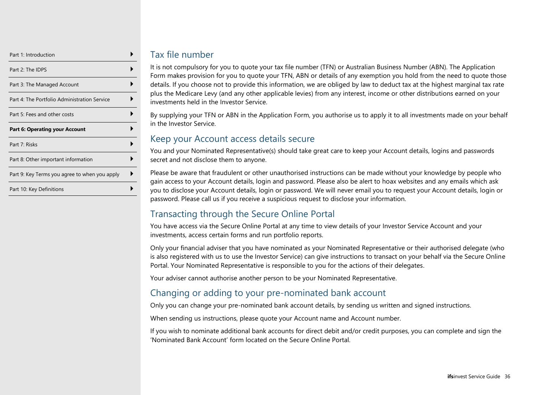| Part 1: Introduction                          |  |
|-----------------------------------------------|--|
| Part 2: The IDPS                              |  |
| Part 3: The Managed Account                   |  |
| Part 4: The Portfolio Administration Service  |  |
| Part 5: Fees and other costs                  |  |
|                                               |  |
| <b>Part 6: Operating your Account</b>         |  |
| Part 7: Risks                                 |  |
| Part 8: Other important information           |  |
| Part 9: Key Terms you agree to when you apply |  |

## Tax file number

It is not compulsory for you to quote your tax file number (TFN) or Australian Business Number (ABN). The Application Form makes provision for you to quote your TFN, ABN or details of any exemption you hold from the need to quote those details. If you choose not to provide this information, we are obliged by law to deduct tax at the highest marginal tax rate plus the Medicare Levy (and any other applicable levies) from any interest, income or other distributions earned on your investments held in the Investor Service.

By supplying your TFN or ABN in the Application Form, you authorise us to apply it to all investments made on your behalf in the Investor Service.

## Keep your Account access details secure

You and your Nominated Representative(s) should take great care to keep your Account details, logins and passwords secret and not disclose them to anyone.

Please be aware that fraudulent or other unauthorised instructions can be made without your knowledge by people who gain access to your Account details, login and password. Please also be alert to hoax websites and any emails which ask you to disclose your Account details, login or password. We will never email you to request your Account details, login or password. Please call us if you receive a suspicious request to disclose your information.

## Transacting through the Secure Online Portal

You have access via the Secure Online Portal at any time to view details of your Investor Service Account and your investments, access certain forms and run portfolio reports.

Only your financial adviser that you have nominated as your Nominated Representative or their authorised delegate (who is also registered with us to use the Investor Service) can give instructions to transact on your behalf via the Secure Online Portal. Your Nominated Representative is responsible to you for the actions of their delegates.

Your adviser cannot authorise another person to be your Nominated Representative.

## Changing or adding to your pre-nominated bank account

Only you can change your pre-nominated bank account details, by sending us written and signed instructions.

When sending us instructions, please quote your Account name and Account number.

If you wish to nominate additional bank accounts for direct debit and/or credit purposes, you can complete and sign the 'Nominated Bank Account' form located on the Secure Online Portal.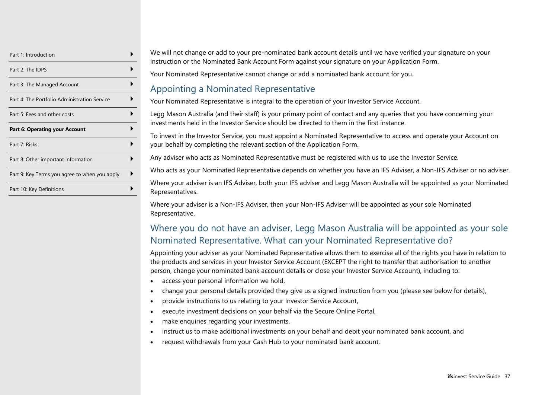| Part 1: Introduction                          |  |
|-----------------------------------------------|--|
| Part 2: The IDPS                              |  |
| Part 3: The Managed Account                   |  |
| Part 4: The Portfolio Administration Service  |  |
| Part 5: Fees and other costs                  |  |
| <b>Part 6: Operating your Account</b>         |  |
| Part 7: Risks                                 |  |
| Part 8: Other important information           |  |
|                                               |  |
| Part 9: Key Terms you agree to when you apply |  |

We will not change or add to your pre-nominated bank account details until we have verified your signature on your instruction or the Nominated Bank Account Form against your signature on your Application Form.

Your Nominated Representative cannot change or add a nominated bank account for you.

#### Appointing a Nominated Representative

Your Nominated Representative is integral to the operation of your Investor Service Account.

Legg Mason Australia (and their staff) is your primary point of contact and any queries that you have concerning your investments held in the Investor Service should be directed to them in the first instance.

To invest in the Investor Service, you must appoint a Nominated Representative to access and operate your Account on your behalf by completing the relevant section of the Application Form.

Any adviser who acts as Nominated Representative must be registered with us to use the Investor Service.

Who acts as your Nominated Representative depends on whether you have an IFS Adviser, a Non-IFS Adviser or no adviser.

Where your adviser is an IFS Adviser, both your IFS adviser and Legg Mason Australia will be appointed as your Nominated Representatives.

Where your adviser is a Non-IFS Adviser, then your Non-IFS Adviser will be appointed as your sole Nominated Representative.

## Where you do not have an adviser, Legg Mason Australia will be appointed as your sole Nominated Representative. What can your Nominated Representative do?

<span id="page-36-0"></span>Appointing your adviser as your Nominated Representative allows them to exercise all of the rights you have in relation to the products and services in your Investor Service Account (EXCEPT the right to transfer that authorisation to another person, change your nominated bank account details or close your Investor Service Account), including to:

- access your personal information we hold,
- change your personal details provided they give us a signed instruction from you (please see below for details),
- provide instructions to us relating to your Investor Service Account,
- execute investment decisions on your behalf via the Secure Online Portal,
- make enquiries regarding your investments,
- instruct us to make additional investments on your behalf and debit your nominated bank account, and
- request withdrawals from your Cash Hub to your nominated bank account.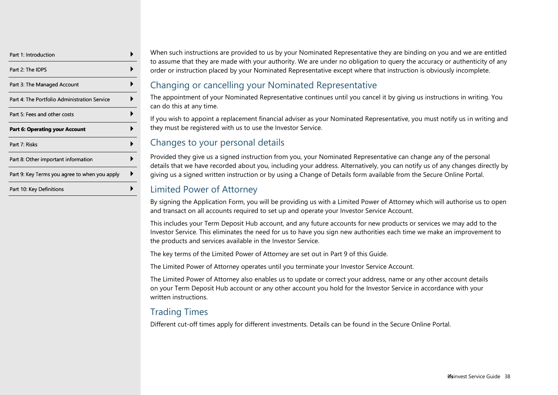| Part 1: Introduction                          |  |
|-----------------------------------------------|--|
| Part 2: The IDPS                              |  |
| Part 3: The Managed Account                   |  |
| Part 4: The Portfolio Administration Service  |  |
| Part 5: Fees and other costs                  |  |
| <b>Part 6: Operating your Account</b>         |  |
|                                               |  |
| Part 7: Risks                                 |  |
| Part 8: Other important information           |  |
| Part 9: Key Terms you agree to when you apply |  |

When such instructions are provided to us by your Nominated Representative they are binding on you and we are entitled to assume that they are made with your authority. We are under no obligation to query the accuracy or authenticity of any order or instruction placed by your Nominated Representative except where that instruction is obviously incomplete.

## Changing or cancelling your Nominated Representative

The appointment of your Nominated Representative continues until you cancel it by giving us instructions in writing. You can do this at any time.

If you wish to appoint a replacement financial adviser as your Nominated Representative, you must notify us in writing and they must be registered with us to use the Investor Service.

## Changes to your personal details

Provided they give us a signed instruction from you, your Nominated Representative can change any of the personal details that we have recorded about you, including your address. Alternatively, you can notify us of any changes directly by giving us a signed written instruction or by using a Change of Details form available from the Secure Online Portal.

## Limited Power of Attorney

By signing the Application Form, you will be providing us with a Limited Power of Attorney which will authorise us to open and transact on all accounts required to set up and operate your Investor Service Account.

This includes your Term Deposit Hub account, and any future accounts for new products or services we may add to the Investor Service. This eliminates the need for us to have you sign new authorities each time we make an improvement to the products and services available in the Investor Service.

The key terms of the Limited Power of Attorney are set out in Part 9 of this Guide.

The Limited Power of Attorney operates until you terminate your Investor Service Account.

The Limited Power of Attorney also enables us to update or correct your address, name or any other account details on your Term Deposit Hub account or any other account you hold for the Investor Service in accordance with your written instructions.

## Trading Times

Different cut-off times apply for different investments. Details can be found in the Secure Online Portal.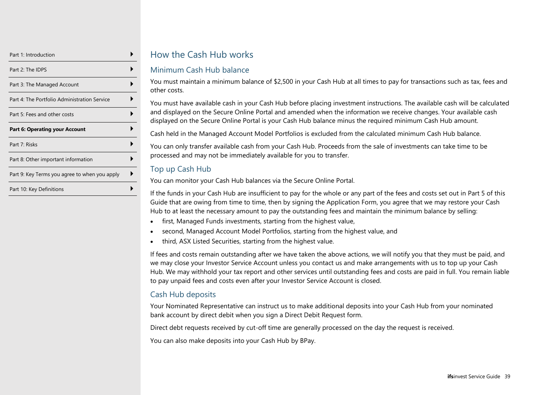| Part 1: Introduction                          |  |
|-----------------------------------------------|--|
| Part 2: The IDPS                              |  |
| Part 3: The Managed Account                   |  |
| Part 4: The Portfolio Administration Service  |  |
| Part 5: Fees and other costs                  |  |
| <b>Part 6: Operating your Account</b>         |  |
| Part 7: Risks                                 |  |
|                                               |  |
| Part 8: Other important information           |  |
| Part 9: Key Terms you agree to when you apply |  |

## How the Cash Hub works

#### Minimum Cash Hub balance

You must maintain a minimum balance of \$2,500 in your Cash Hub at all times to pay for transactions such as tax, fees and other costs.

You must have available cash in your Cash Hub before placing investment instructions. The available cash will be calculated and displayed on the Secure Online Portal and amended when the information we receive changes. Your available cash displayed on the Secure Online Portal is your Cash Hub balance minus the required minimum Cash Hub amount.

Cash held in the Managed Account Model Portfolios is excluded from the calculated minimum Cash Hub balance.

You can only transfer available cash from your Cash Hub. Proceeds from the sale of investments can take time to be processed and may not be immediately available for you to transfer.

#### Top up Cash Hub

You can monitor your Cash Hub balances via the Secure Online Portal.

If the funds in your Cash Hub are insufficient to pay for the whole or any part of the fees and costs set out in Part 5 of this Guide that are owing from time to time, then by signing the Application Form, you agree that we may restore your Cash Hub to at least the necessary amount to pay the outstanding fees and maintain the minimum balance by selling:

- first, Managed Funds investments, starting from the highest value,
- second, Managed Account Model Portfolios, starting from the highest value, and
- third, ASX Listed Securities, starting from the highest value.

If fees and costs remain outstanding after we have taken the above actions, we will notify you that they must be paid, and we may close your Investor Service Account unless you contact us and make arrangements with us to top up your Cash Hub. We may withhold your tax report and other services until outstanding fees and costs are paid in full. You remain liable to pay unpaid fees and costs even after your Investor Service Account is closed.

#### Cash Hub deposits

Your Nominated Representative can instruct us to make additional deposits into your Cash Hub from your nominated bank account by direct debit when you sign a Direct Debit Request form.

Direct debt requests received by cut-off time are generally processed on the day the request is received.

You can also make deposits into your Cash Hub by BPay.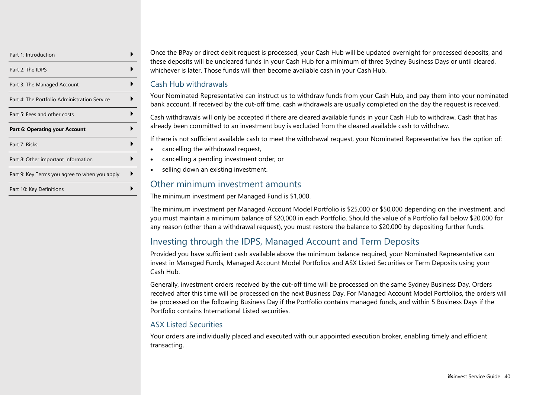| Part 1: Introduction                          |  |
|-----------------------------------------------|--|
| Part 2: The IDPS                              |  |
| Part 3: The Managed Account                   |  |
| Part 4: The Portfolio Administration Service  |  |
| Part 5: Fees and other costs                  |  |
| <b>Part 6: Operating your Account</b>         |  |
| Part 7: Risks                                 |  |
| Part 8: Other important information           |  |
| Part 9: Key Terms you agree to when you apply |  |
|                                               |  |

Once the BPay or direct debit request is processed, your Cash Hub will be updated overnight for processed deposits, and these deposits will be uncleared funds in your Cash Hub for a minimum of three Sydney Business Days or until cleared, whichever is later. Those funds will then become available cash in your Cash Hub.

#### Cash Hub withdrawals

Your Nominated Representative can instruct us to withdraw funds from your Cash Hub, and pay them into your nominated bank account. If received by the cut-off time, cash withdrawals are usually completed on the day the request is received.

Cash withdrawals will only be accepted if there are cleared available funds in your Cash Hub to withdraw. Cash that has already been committed to an investment buy is excluded from the cleared available cash to withdraw.

If there is not sufficient available cash to meet the withdrawal request, your Nominated Representative has the option of:

- cancelling the withdrawal request,
- cancelling a pending investment order, or
- selling down an existing investment.

#### Other minimum investment amounts

The minimum investment per Managed Fund is \$1,000.

The minimum investment per Managed Account Model Portfolio is \$25,000 or \$50,000 depending on the investment, and you must maintain a minimum balance of \$20,000 in each Portfolio. Should the value of a Portfolio fall below \$20,000 for any reason (other than a withdrawal request), you must restore the balance to \$20,000 by depositing further funds.

## Investing through the IDPS, Managed Account and Term Deposits

Provided you have sufficient cash available above the minimum balance required, your Nominated Representative can invest in Managed Funds, Managed Account Model Portfolios and ASX Listed Securities or Term Deposits using your Cash Hub.

Generally, investment orders received by the cut-off time will be processed on the same Sydney Business Day. Orders received after this time will be processed on the next Business Day. For Managed Account Model Portfolios, the orders will be processed on the following Business Day if the Portfolio contains managed funds, and within 5 Business Days if the Portfolio contains International Listed securities.

#### ASX Listed Securities

Your orders are individually placed and executed with our appointed execution broker, enabling timely and efficient transacting.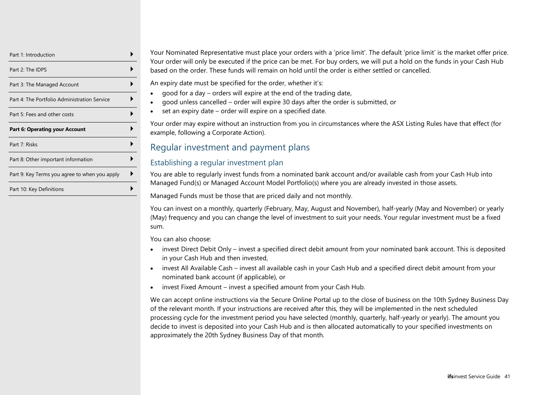| Part 1: Introduction                          |  |
|-----------------------------------------------|--|
| Part 2: The IDPS                              |  |
| Part 3: The Managed Account                   |  |
| Part 4: The Portfolio Administration Service  |  |
| Part 5: Fees and other costs                  |  |
| <b>Part 6: Operating your Account</b>         |  |
|                                               |  |
| Part 7: Risks                                 |  |
| Part 8: Other important information           |  |
| Part 9: Key Terms you agree to when you apply |  |

Your Nominated Representative must place your orders with a 'price limit'. The default 'price limit' is the market offer price. Your order will only be executed if the price can be met. For buy orders, we will put a hold on the funds in your Cash Hub based on the order. These funds will remain on hold until the order is either settled or cancelled.

An expiry date must be specified for the order, whether it's:

- good for a day orders will expire at the end of the trading date,
- good unless cancelled order will expire 30 days after the order is submitted, or
- set an expiry date order will expire on a specified date.

Your order may expire without an instruction from you in circumstances where the ASX Listing Rules have that effect (for example, following a Corporate Action).

## Regular investment and payment plans

#### Establishing a regular investment plan

You are able to regularly invest funds from a nominated bank account and/or available cash from your Cash Hub into Managed Fund(s) or Managed Account Model Portfolio(s) where you are already invested in those assets.

Managed Funds must be those that are priced daily and not monthly.

You can invest on a monthly, quarterly (February, May, August and November), half-yearly (May and November) or yearly (May) frequency and you can change the level of investment to suit your needs. Your regular investment must be a fixed sum.

You can also choose:

- invest Direct Debit Only invest a specified direct debit amount from your nominated bank account. This is deposited in your Cash Hub and then invested,
- invest All Available Cash invest all available cash in your Cash Hub and a specified direct debit amount from your nominated bank account (if applicable), or
- invest Fixed Amount invest a specified amount from your Cash Hub.

We can accept online instructions via the Secure Online Portal up to the close of business on the 10th Sydney Business Day of the relevant month. If your instructions are received after this, they will be implemented in the next scheduled processing cycle for the investment period you have selected (monthly, quarterly, half-yearly or yearly). The amount you decide to invest is deposited into your Cash Hub and is then allocated automatically to your specified investments on approximately the 20th Sydney Business Day of that month.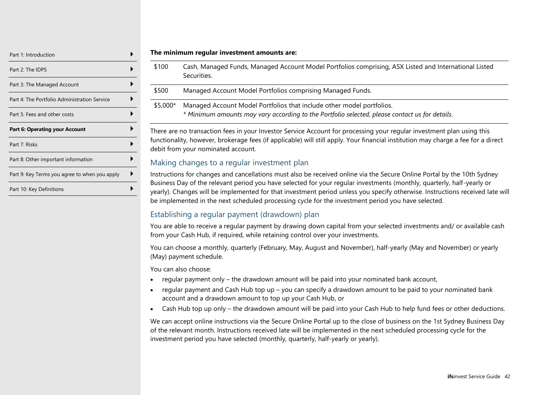| Part 1: Introduction                          |  |
|-----------------------------------------------|--|
| Part 2: The IDPS                              |  |
| Part 3: The Managed Account                   |  |
| Part 4: The Portfolio Administration Service  |  |
| Part 5: Fees and other costs                  |  |
| <b>Part 6: Operating your Account</b>         |  |
|                                               |  |
| Part 7: Risks                                 |  |
| Part 8: Other important information           |  |
| Part 9: Key Terms you agree to when you apply |  |

#### **The minimum regular investment amounts are:**

\$100 Cash, Managed Funds, Managed Account Model Portfolios comprising, ASX Listed and International Listed Securities.

| \$500 | Managed Account Model Portfolios comprising Managed Funds. |  |
|-------|------------------------------------------------------------|--|
|       |                                                            |  |

\$5,000\* Managed Account Model Portfolios that include other model portfolios. *\* Minimum amounts may vary according to the Portfolio selected, please contact us for details.*

There are no transaction fees in your Investor Service Account for processing your regular investment plan using this functionality, however, brokerage fees (if applicable) will still apply. Your financial institution may charge a fee for a direct debit from your nominated account.

#### Making changes to a regular investment plan

Instructions for changes and cancellations must also be received online via the Secure Online Portal by the 10th Sydney Business Day of the relevant period you have selected for your regular investments (monthly, quarterly, half-yearly or yearly). Changes will be implemented for that investment period unless you specify otherwise. Instructions received late will be implemented in the next scheduled processing cycle for the investment period you have selected.

#### Establishing a regular payment (drawdown) plan

You are able to receive a regular payment by drawing down capital from your selected investments and/ or available cash from your Cash Hub, if required, while retaining control over your investments.

You can choose a monthly, quarterly (February, May, August and November), half-yearly (May and November) or yearly (May) payment schedule.

You can also choose:

- regular payment only the drawdown amount will be paid into your nominated bank account,
- regular payment and Cash Hub top up you can specify a drawdown amount to be paid to your nominated bank account and a drawdown amount to top up your Cash Hub, or
- Cash Hub top up only the drawdown amount will be paid into your Cash Hub to help fund fees or other deductions.

We can accept online instructions via the Secure Online Portal up to the close of business on the 1st Sydney Business Day of the relevant month. Instructions received late will be implemented in the next scheduled processing cycle for the investment period you have selected (monthly, quarterly, half-yearly or yearly).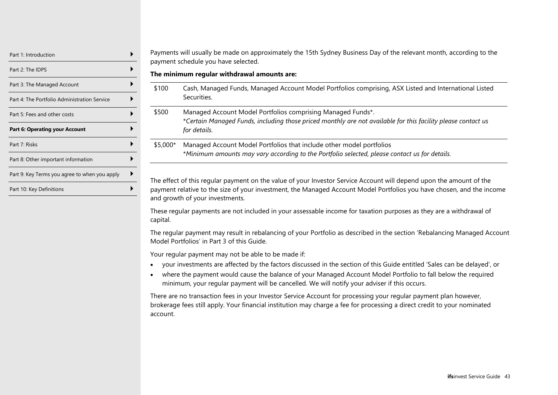| Part 1: Introduction                          |  |
|-----------------------------------------------|--|
| Part 2: The IDPS                              |  |
| Part 3: The Managed Account                   |  |
| Part 4: The Portfolio Administration Service  |  |
| Part 5: Fees and other costs                  |  |
| <b>Part 6: Operating your Account</b>         |  |
| Part 7: Risks                                 |  |
|                                               |  |
| Part 8: Other important information           |  |
| Part 9: Key Terms you agree to when you apply |  |

Payments will usually be made on approximately the 15th Sydney Business Day of the relevant month, according to the payment schedule you have selected.

**The minimum regular withdrawal amounts are:**

\$100 Cash, Managed Funds, Managed Account Model Portfolios comprising, ASX Listed and International Listed Securities.

\$500 Managed Account Model Portfolios comprising Managed Funds\*. \**Certain Managed Funds, including those priced monthly are not available for this facility please contact us for details.*

\$5,000\* Managed Account Model Portfolios that include other model portfolios \**Minimum amounts may vary according to the Portfolio selected, please contact us for details.*

The effect of this regular payment on the value of your Investor Service Account will depend upon the amount of the payment relative to the size of your investment, the Managed Account Model Portfolios you have chosen, and the income and growth of your investments.

These regular payments are not included in your assessable income for taxation purposes as they are a withdrawal of capital.

The regular payment may result in rebalancing of your Portfolio as described in the section 'Rebalancing Managed Account Model Portfolios' in Part 3 of this Guide.

Your regular payment may not be able to be made if:

- your investments are affected by the factors discussed in the section of this Guide entitled 'Sales can be delayed', or
- where the payment would cause the balance of your Managed Account Model Portfolio to fall below the required minimum, your regular payment will be cancelled. We will notify your adviser if this occurs.

There are no transaction fees in your Investor Service Account for processing your regular payment plan however, brokerage fees still apply. Your financial institution may charge a fee for processing a direct credit to your nominated account.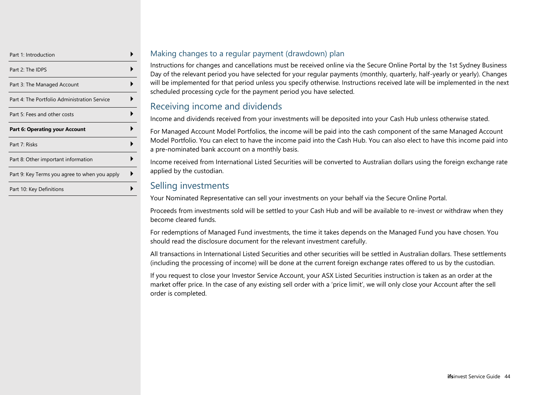| Part 1: Introduction                          |  |
|-----------------------------------------------|--|
| Part 2: The IDPS                              |  |
| Part 3: The Managed Account                   |  |
| Part 4: The Portfolio Administration Service  |  |
| Part 5: Fees and other costs                  |  |
| <b>Part 6: Operating your Account</b>         |  |
| Part 7: Risks                                 |  |
| Part 8: Other important information           |  |
| Part 9: Key Terms you agree to when you apply |  |
| Part 10: Key Definitions                      |  |

#### Making changes to a regular payment (drawdown) plan

Instructions for changes and cancellations must be received online via the Secure Online Portal by the 1st Sydney Business Day of the relevant period you have selected for your regular payments (monthly, quarterly, half-yearly or yearly). Changes will be implemented for that period unless you specify otherwise. Instructions received late will be implemented in the next scheduled processing cycle for the payment period you have selected.

## Receiving income and dividends

Income and dividends received from your investments will be deposited into your Cash Hub unless otherwise stated.

For Managed Account Model Portfolios, the income will be paid into the cash component of the same Managed Account Model Portfolio. You can elect to have the income paid into the Cash Hub. You can also elect to have this income paid into a pre-nominated bank account on a monthly basis.

Income received from International Listed Securities will be converted to Australian dollars using the foreign exchange rate applied by the custodian.

## Selling investments

Your Nominated Representative can sell your investments on your behalf via the Secure Online Portal.

Proceeds from investments sold will be settled to your Cash Hub and will be available to re-invest or withdraw when they become cleared funds.

For redemptions of Managed Fund investments, the time it takes depends on the Managed Fund you have chosen. You should read the disclosure document for the relevant investment carefully.

All transactions in International Listed Securities and other securities will be settled in Australian dollars. These settlements (including the processing of income) will be done at the current foreign exchange rates offered to us by the custodian.

If you request to close your Investor Service Account, your ASX Listed Securities instruction is taken as an order at the market offer price. In the case of any existing sell order with a 'price limit', we will only close your Account after the sell order is completed.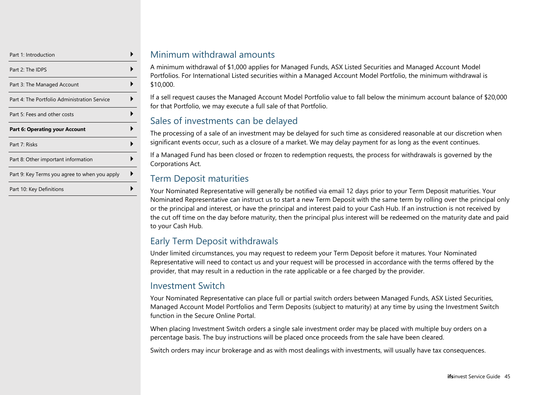| Part 1: Introduction                          |  |
|-----------------------------------------------|--|
| Part 2: The IDPS                              |  |
| Part 3: The Managed Account                   |  |
| Part 4: The Portfolio Administration Service  |  |
| Part 5: Fees and other costs                  |  |
| <b>Part 6: Operating your Account</b>         |  |
|                                               |  |
| Part 7: Risks                                 |  |
| Part 8: Other important information           |  |
| Part 9: Key Terms you agree to when you apply |  |

## Minimum withdrawal amounts

A minimum withdrawal of \$1,000 applies for Managed Funds, ASX Listed Securities and Managed Account Model Portfolios. For International Listed securities within a Managed Account Model Portfolio, the minimum withdrawal is \$10,000.

If a sell request causes the Managed Account Model Portfolio value to fall below the minimum account balance of \$20,000 for that Portfolio, we may execute a full sale of that Portfolio.

## Sales of investments can be delayed

The processing of a sale of an investment may be delayed for such time as considered reasonable at our discretion when significant events occur, such as a closure of a market. We may delay payment for as long as the event continues.

If a Managed Fund has been closed or frozen to redemption requests, the process for withdrawals is governed by the Corporations Act.

## Term Deposit maturities

Your Nominated Representative will generally be notified via email 12 days prior to your Term Deposit maturities. Your Nominated Representative can instruct us to start a new Term Deposit with the same term by rolling over the principal only or the principal and interest, or have the principal and interest paid to your Cash Hub. If an instruction is not received by the cut off time on the day before maturity, then the principal plus interest will be redeemed on the maturity date and paid to your Cash Hub.

## Early Term Deposit withdrawals

Under limited circumstances, you may request to redeem your Term Deposit before it matures. Your Nominated Representative will need to contact us and your request will be processed in accordance with the terms offered by the provider, that may result in a reduction in the rate applicable or a fee charged by the provider.

## Investment Switch

Your Nominated Representative can place full or partial switch orders between Managed Funds, ASX Listed Securities, Managed Account Model Portfolios and Term Deposits (subject to maturity) at any time by using the Investment Switch function in the Secure Online Portal.

When placing Investment Switch orders a single sale investment order may be placed with multiple buy orders on a percentage basis. The buy instructions will be placed once proceeds from the sale have been cleared.

Switch orders may incur brokerage and as with most dealings with investments, will usually have tax consequences.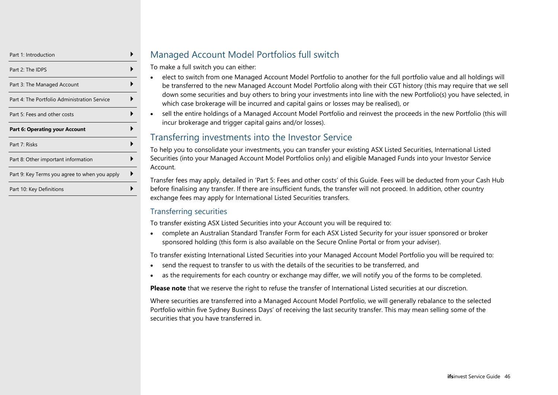| Part 1: Introduction                          |  |
|-----------------------------------------------|--|
| Part 2: The IDPS                              |  |
| Part 3: The Managed Account                   |  |
| Part 4: The Portfolio Administration Service  |  |
| Part 5: Fees and other costs                  |  |
| <b>Part 6: Operating your Account</b>         |  |
| Part 7: Risks                                 |  |
| Part 8: Other important information           |  |
| Part 9: Key Terms you agree to when you apply |  |
|                                               |  |

## Managed Account Model Portfolios full switch

To make a full switch you can either:

- elect to switch from one Managed Account Model Portfolio to another for the full portfolio value and all holdings will be transferred to the new Managed Account Model Portfolio along with their CGT history (this may require that we sell down some securities and buy others to bring your investments into line with the new Portfolio(s) you have selected, in which case brokerage will be incurred and capital gains or losses may be realised), or
- sell the entire holdings of a Managed Account Model Portfolio and reinvest the proceeds in the new Portfolio (this will incur brokerage and trigger capital gains and/or losses).

## Transferring investments into the Investor Service

To help you to consolidate your investments, you can transfer your existing ASX Listed Securities, International Listed Securities (into your Managed Account Model Portfolios only) and eligible Managed Funds into your Investor Service Account.

Transfer fees may apply, detailed in 'Part 5: Fees and other costs' of this Guide. Fees will be deducted from your Cash Hub before finalising any transfer. If there are insufficient funds, the transfer will not proceed. In addition, other country exchange fees may apply for International Listed Securities transfers.

#### Transferring securities

To transfer existing ASX Listed Securities into your Account you will be required to:

• complete an Australian Standard Transfer Form for each ASX Listed Security for your issuer sponsored or broker sponsored holding (this form is also available on the Secure Online Portal or from your adviser).

To transfer existing International Listed Securities into your Managed Account Model Portfolio you will be required to:

- send the request to transfer to us with the details of the securities to be transferred, and
- as the requirements for each country or exchange may differ, we will notify you of the forms to be completed.

**Please note** that we reserve the right to refuse the transfer of International Listed securities at our discretion.

Where securities are transferred into a Managed Account Model Portfolio, we will generally rebalance to the selected Portfolio within five Sydney Business Days' of receiving the last security transfer. This may mean selling some of the securities that you have transferred in.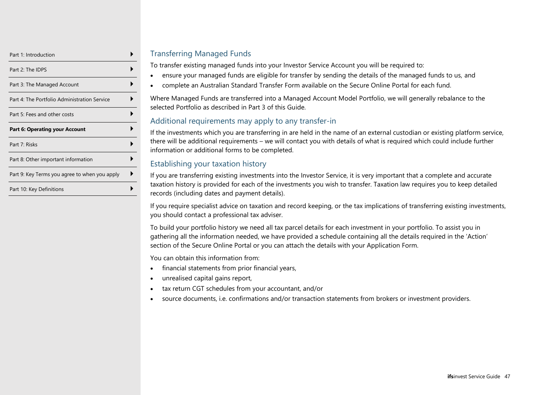| Part 1: Introduction                          |  |
|-----------------------------------------------|--|
| Part 2: The IDPS                              |  |
| Part 3: The Managed Account                   |  |
| Part 4: The Portfolio Administration Service  |  |
| Part 5: Fees and other costs                  |  |
| <b>Part 6: Operating your Account</b>         |  |
| Part 7: Risks                                 |  |
|                                               |  |
| Part 8: Other important information           |  |
| Part 9: Key Terms you agree to when you apply |  |

#### Transferring Managed Funds

To transfer existing managed funds into your Investor Service Account you will be required to:

- ensure your managed funds are eligible for transfer by sending the details of the managed funds to us, and
- complete an Australian Standard Transfer Form available on the Secure Online Portal for each fund.

Where Managed Funds are transferred into a Managed Account Model Portfolio, we will generally rebalance to the selected Portfolio as described in Part 3 of this Guide.

#### Additional requirements may apply to any transfer-in

If the investments which you are transferring in are held in the name of an external custodian or existing platform service, there will be additional requirements – we will contact you with details of what is required which could include further information or additional forms to be completed.

#### Establishing your taxation history

If you are transferring existing investments into the Investor Service, it is very important that a complete and accurate taxation history is provided for each of the investments you wish to transfer. Taxation law requires you to keep detailed records (including dates and payment details).

If you require specialist advice on taxation and record keeping, or the tax implications of transferring existing investments, you should contact a professional tax adviser.

To build your portfolio history we need all tax parcel details for each investment in your portfolio. To assist you in gathering all the information needed, we have provided a schedule containing all the details required in the 'Action' section of the Secure Online Portal or you can attach the details with your Application Form.

You can obtain this information from:

- financial statements from prior financial years,
- unrealised capital gains report,
- tax return CGT schedules from your accountant, and/or
- source documents, i.e. confirmations and/or transaction statements from brokers or investment providers.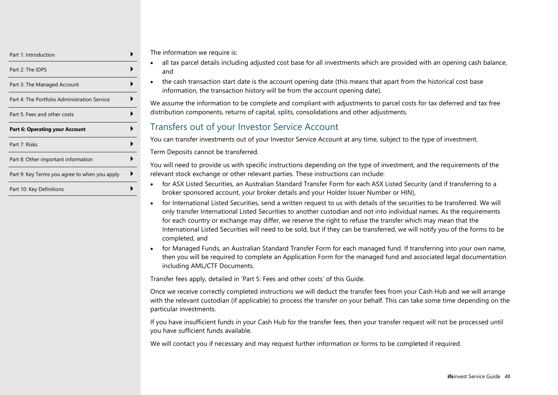| Part 1: Introduction                          |  |
|-----------------------------------------------|--|
| Part 2: The IDPS                              |  |
| Part 3: The Managed Account                   |  |
| Part 4: The Portfolio Administration Service  |  |
| Part 5: Fees and other costs                  |  |
| <b>Part 6: Operating your Account</b>         |  |
| Part 7: Risks                                 |  |
| Part 8: Other important information           |  |
| Part 9: Key Terms you agree to when you apply |  |
| Part 10: Key Definitions                      |  |

The information we require is:

- all tax parcel details including adjusted cost base for all investments which are provided with an opening cash balance, and
- the cash transaction start date is the account opening date (this means that apart from the historical cost base information, the transaction history will be from the account opening date).

We assume the information to be complete and compliant with adjustments to parcel costs for tax deferred and tax free distribution components, returns of capital, splits, consolidations and other adjustments.

## Transfers out of your Investor Service Account

You can transfer investments out of your Investor Service Account at any time, subject to the type of investment.

Term Deposits cannot be transferred.

You will need to provide us with specific instructions depending on the type of investment, and the requirements of the relevant stock exchange or other relevant parties. These instructions can include:

- for ASX Listed Securities, an Australian Standard Transfer Form for each ASX Listed Security (and if transferring to a broker sponsored account, your broker details and your Holder Issuer Number or HIN),
- for International Listed Securities, send a written request to us with details of the securities to be transferred. We will only transfer International Listed Securities to another custodian and not into individual names. As the requirements for each country or exchange may differ, we reserve the right to refuse the transfer which may mean that the International Listed Securities will need to be sold, but if they can be transferred, we will notify you of the forms to be completed, and
- for Managed Funds, an Australian Standard Transfer Form for each managed fund. If transferring into your own name, then you will be required to complete an Application Form for the managed fund and associated legal documentation including AML/CTF Documents.

Transfer fees apply, detailed in 'Part 5: Fees and other costs' of this Guide.

Once we receive correctly completed instructions we will deduct the transfer fees from your Cash Hub and we will arrange with the relevant custodian (if applicable) to process the transfer on your behalf. This can take some time depending on the particular investments.

If you have insufficient funds in your Cash Hub for the transfer fees, then your transfer request will not be processed until you have sufficient funds available.

We will contact you if necessary and may request further information or forms to be completed if required.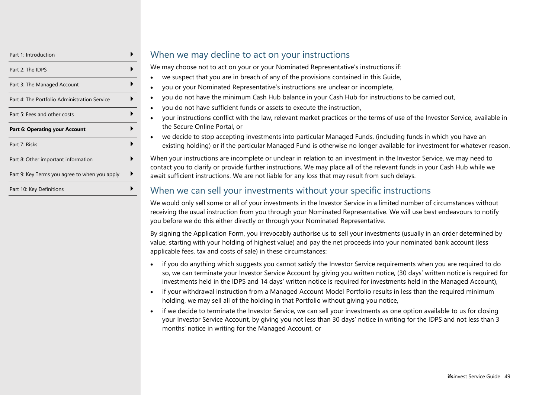| Part 1: Introduction                          |  |
|-----------------------------------------------|--|
| Part 2: The IDPS                              |  |
| Part 3: The Managed Account                   |  |
| Part 4: The Portfolio Administration Service  |  |
| Part 5: Fees and other costs                  |  |
| <b>Part 6: Operating your Account</b>         |  |
|                                               |  |
| Part 7: Risks                                 |  |
| Part 8: Other important information           |  |
| Part 9: Key Terms you agree to when you apply |  |

## When we may decline to act on your instructions

We may choose not to act on your or your Nominated Representative's instructions if:

- we suspect that you are in breach of any of the provisions contained in this Guide,
- you or your Nominated Representative's instructions are unclear or incomplete,
- you do not have the minimum Cash Hub balance in your Cash Hub for instructions to be carried out,
- you do not have sufficient funds or assets to execute the instruction,
- your instructions conflict with the law, relevant market practices or the terms of use of the Investor Service, available in the Secure Online Portal, or
- we decide to stop accepting investments into particular Managed Funds, (including funds in which you have an existing holding) or if the particular Managed Fund is otherwise no longer available for investment for whatever reason.

When your instructions are incomplete or unclear in relation to an investment in the Investor Service, we may need to contact you to clarify or provide further instructions. We may place all of the relevant funds in your Cash Hub while we await sufficient instructions. We are not liable for any loss that may result from such delays.

## When we can sell your investments without your specific instructions

We would only sell some or all of your investments in the Investor Service in a limited number of circumstances without receiving the usual instruction from you through your Nominated Representative. We will use best endeavours to notify you before we do this either directly or through your Nominated Representative.

By signing the Application Form, you irrevocably authorise us to sell your investments (usually in an order determined by value, starting with your holding of highest value) and pay the net proceeds into your nominated bank account (less applicable fees, tax and costs of sale) in these circumstances:

- if you do anything which suggests you cannot satisfy the Investor Service requirements when you are required to do so, we can terminate your Investor Service Account by giving you written notice, (30 days' written notice is required for investments held in the IDPS and 14 days' written notice is required for investments held in the Managed Account),
- if your withdrawal instruction from a Managed Account Model Portfolio results in less than the required minimum holding, we may sell all of the holding in that Portfolio without giving you notice,
- if we decide to terminate the Investor Service, we can sell your investments as one option available to us for closing your Investor Service Account, by giving you not less than 30 days' notice in writing for the IDPS and not less than 3 months' notice in writing for the Managed Account, or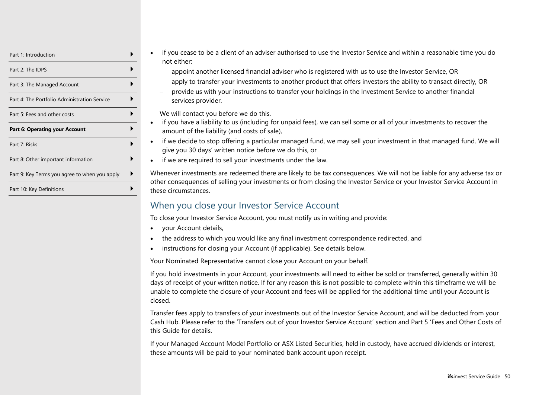| Part 1: Introduction                          |  |
|-----------------------------------------------|--|
| Part 2: The IDPS                              |  |
| Part 3: The Managed Account                   |  |
| Part 4: The Portfolio Administration Service  |  |
| Part 5: Fees and other costs                  |  |
| <b>Part 6: Operating your Account</b>         |  |
| Part 7: Risks                                 |  |
| Part 8: Other important information           |  |
| Part 9: Key Terms you agree to when you apply |  |
|                                               |  |

- if you cease to be a client of an adviser authorised to use the Investor Service and within a reasonable time you do not either:
	- − appoint another licensed financial adviser who is registered with us to use the Investor Service, OR
	- − apply to transfer your investments to another product that offers investors the ability to transact directly, OR
	- − provide us with your instructions to transfer your holdings in the Investment Service to another financial services provider.

We will contact you before we do this.

- if you have a liability to us (including for unpaid fees), we can sell some or all of your investments to recover the amount of the liability (and costs of sale),
- if we decide to stop offering a particular managed fund, we may sell your investment in that managed fund. We will give you 30 days' written notice before we do this, or
- if we are required to sell your investments under the law.

Whenever investments are redeemed there are likely to be tax consequences. We will not be liable for any adverse tax or other consequences of selling your investments or from closing the Investor Service or your Investor Service Account in these circumstances.

## When you close your Investor Service Account

To close your Investor Service Account, you must notify us in writing and provide:

- your Account details,
- the address to which you would like any final investment correspondence redirected, and
- instructions for closing your Account (if applicable). See details below.

Your Nominated Representative cannot close your Account on your behalf.

If you hold investments in your Account, your investments will need to either be sold or transferred, generally within 30 days of receipt of your written notice. If for any reason this is not possible to complete within this timeframe we will be unable to complete the closure of your Account and fees will be applied for the additional time until your Account is closed.

Transfer fees apply to transfers of your investments out of the Investor Service Account, and will be deducted from your Cash Hub. Please refer to the 'Transfers out of your Investor Service Account' section and Part 5 'Fees and Other Costs of this Guide for details.

If your Managed Account Model Portfolio or ASX Listed Securities, held in custody, have accrued dividends or interest, these amounts will be paid to your nominated bank account upon receipt.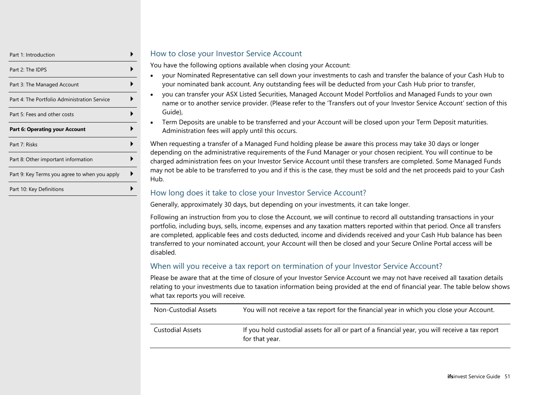| Part 1: Introduction                          |  |
|-----------------------------------------------|--|
| Part 2: The IDPS                              |  |
| Part 3: The Managed Account                   |  |
| Part 4: The Portfolio Administration Service  |  |
| Part 5: Fees and other costs                  |  |
| <b>Part 6: Operating your Account</b>         |  |
| Part 7: Risks                                 |  |
| Part 8: Other important information           |  |
|                                               |  |
| Part 9: Key Terms you agree to when you apply |  |

#### How to close your Investor Service Account

You have the following options available when closing your Account:

- your Nominated Representative can sell down your investments to cash and transfer the balance of your Cash Hub to your nominated bank account. Any outstanding fees will be deducted from your Cash Hub prior to transfer,
- you can transfer your ASX Listed Securities, Managed Account Model Portfolios and Managed Funds to your own name or to another service provider. (Please refer to the 'Transfers out of your Investor Service Account' section of this Guide),
- Term Deposits are unable to be transferred and your Account will be closed upon your Term Deposit maturities. Administration fees will apply until this occurs.

When requesting a transfer of a Managed Fund holding please be aware this process may take 30 days or longer depending on the administrative requirements of the Fund Manager or your chosen recipient. You will continue to be charged administration fees on your Investor Service Account until these transfers are completed. Some Managed Funds may not be able to be transferred to you and if this is the case, they must be sold and the net proceeds paid to your Cash Hub.

#### How long does it take to close your Investor Service Account?

Generally, approximately 30 days, but depending on your investments, it can take longer.

Following an instruction from you to close the Account, we will continue to record all outstanding transactions in your portfolio, including buys, sells, income, expenses and any taxation matters reported within that period. Once all transfers are completed, applicable fees and costs deducted, income and dividends received and your Cash Hub balance has been transferred to your nominated account, your Account will then be closed and your Secure Online Portal access will be disabled.

#### When will you receive a tax report on termination of your Investor Service Account?

Please be aware that at the time of closure of your Investor Service Account we may not have received all taxation details relating to your investments due to taxation information being provided at the end of financial year. The table below shows what tax reports you will receive.

| Non-Custodial Assets | You will not receive a tax report for the financial year in which you close your Account.                         |
|----------------------|-------------------------------------------------------------------------------------------------------------------|
| Custodial Assets     | If you hold custodial assets for all or part of a financial year, you will receive a tax report<br>for that year. |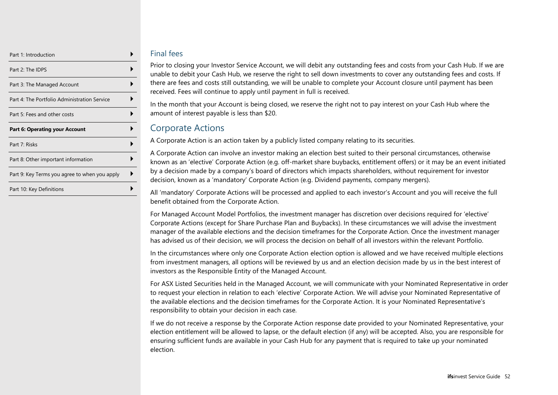| Part 1: Introduction                          |  |
|-----------------------------------------------|--|
| Part 2: The IDPS                              |  |
| Part 3: The Managed Account                   |  |
| Part 4: The Portfolio Administration Service  |  |
| Part 5: Fees and other costs                  |  |
| <b>Part 6: Operating your Account</b>         |  |
| Part 7: Risks                                 |  |
|                                               |  |
| Part 8: Other important information           |  |
| Part 9: Key Terms you agree to when you apply |  |

#### Final fees

Prior to closing your Investor Service Account, we will debit any outstanding fees and costs from your Cash Hub. If we are unable to debit your Cash Hub, we reserve the right to sell down investments to cover any outstanding fees and costs. If there are fees and costs still outstanding, we will be unable to complete your Account closure until payment has been received. Fees will continue to apply until payment in full is received.

In the month that your Account is being closed, we reserve the right not to pay interest on your Cash Hub where the amount of interest payable is less than \$20.

## Corporate Actions

A Corporate Action is an action taken by a publicly listed company relating to its securities.

A Corporate Action can involve an investor making an election best suited to their personal circumstances, otherwise known as an 'elective' Corporate Action (e.g. off-market share buybacks, entitlement offers) or it may be an event initiated by a decision made by a company's board of directors which impacts shareholders, without requirement for investor decision, known as a 'mandatory' Corporate Action (e.g. Dividend payments, company mergers).

All 'mandatory' Corporate Actions will be processed and applied to each investor's Account and you will receive the full benefit obtained from the Corporate Action.

For Managed Account Model Portfolios, the investment manager has discretion over decisions required for 'elective' Corporate Actions (except for Share Purchase Plan and Buybacks). In these circumstances we will advise the investment manager of the available elections and the decision timeframes for the Corporate Action. Once the investment manager has advised us of their decision, we will process the decision on behalf of all investors within the relevant Portfolio.

In the circumstances where only one Corporate Action election option is allowed and we have received multiple elections from investment managers, all options will be reviewed by us and an election decision made by us in the best interest of investors as the Responsible Entity of the Managed Account.

For ASX Listed Securities held in the Managed Account, we will communicate with your Nominated Representative in order to request your election in relation to each 'elective' Corporate Action. We will advise your Nominated Representative of the available elections and the decision timeframes for the Corporate Action. It is your Nominated Representative's responsibility to obtain your decision in each case.

If we do not receive a response by the Corporate Action response date provided to your Nominated Representative, your election entitlement will be allowed to lapse, or the default election (if any) will be accepted. Also, you are responsible for ensuring sufficient funds are available in your Cash Hub for any payment that is required to take up your nominated election.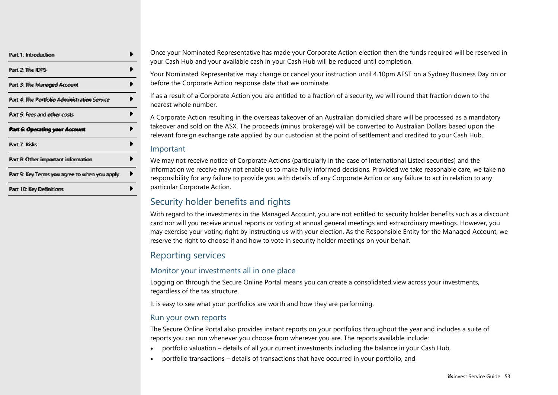| Part 1: Introduction                          |  |
|-----------------------------------------------|--|
| Part 2: The IDPS                              |  |
| Part 3: The Managed Account                   |  |
| Part 4: The Portfollio Administration Service |  |
| Part 5: Fees and other costs                  |  |
| Part 6: Operating your Account                |  |
| Part 7: Risks                                 |  |
| Part 8: Other important information           |  |
| Part 9: Key Tenms you agree to when you apply |  |
|                                               |  |

Once your Nominated Representative has made your Corporate Action election then the funds required will be reserved in your Cash Hub and your available cash in your Cash Hub will be reduced until completion.

Your Nominated Representative may change or cancel your instruction until 4.10pm AEST on a Sydney Business Day on or before the Corporate Action response date that we nominate.

If as a result of a Corporate Action you are entitled to a fraction of a security, we will round that fraction down to the nearest whole number.

A Corporate Action resulting in the overseas takeover of an Australian domiciled share will be processed as a mandatory takeover and sold on the ASX. The proceeds (minus brokerage) will be converted to Australian Dollars based upon the relevant foreign exchange rate applied by our custodian at the point of settlement and credited to your Cash Hub.

#### Important

We may not receive notice of Corporate Actions (particularly in the case of International Listed securities) and the information we receive may not enable us to make fully informed decisions. Provided we take reasonable care, we take no responsibility for any failure to provide you with details of any Corporate Action or any failure to act in relation to any particular Corporate Action.

## Security holder benefits and rights

With regard to the investments in the Managed Account, you are not entitled to security holder benefits such as a discount card nor will you receive annual reports or voting at annual general meetings and extraordinary meetings. However, you may exercise your voting right by instructing us with your election. As the Responsible Entity for the Managed Account, we reserve the right to choose if and how to vote in security holder meetings on your behalf.

## Reporting services

#### Monitor your investments all in one place

Logging on through the Secure Online Portal means you can create a consolidated view across your investments, regardless of the tax structure.

It is easy to see what your portfolios are worth and how they are performing.

#### Run your own reports

The Secure Online Portal also provides instant reports on your portfolios throughout the year and includes a suite of reports you can run whenever you choose from wherever you are. The reports available include:

- portfolio valuation details of all your current investments including the balance in your Cash Hub,
- portfolio transactions details of transactions that have occurred in your portfolio, and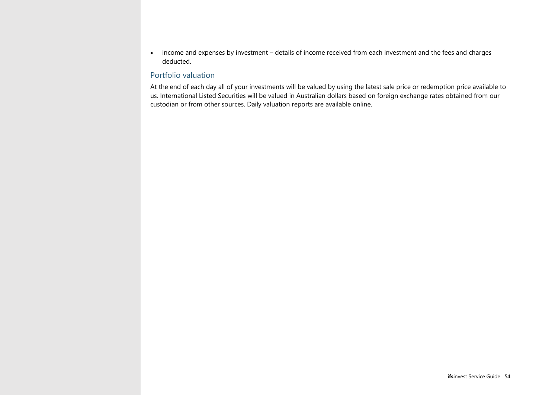• income and expenses by investment – details of income received from each investment and the fees and charges deducted.

#### Portfolio valuation

At the end of each day all of your investments will be valued by using the latest sale price or redemption price available to us. International Listed Securities will be valued in Australian dollars based on foreign exchange rates obtained from our custodian or from other sources. Daily valuation reports are available online.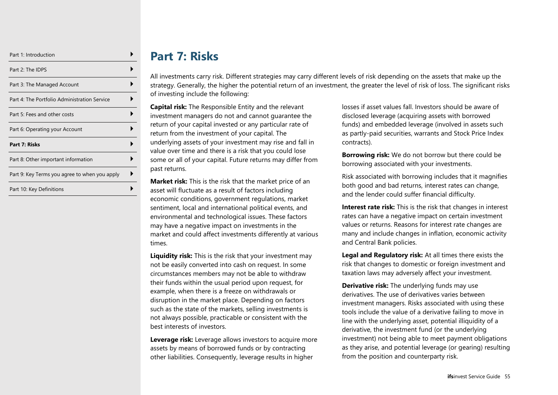| Part 1: Introduction                          |  |
|-----------------------------------------------|--|
| Part 2: The IDPS                              |  |
| Part 3: The Managed Account                   |  |
| Part 4: The Portfolio Administration Service  |  |
| Part 5: Fees and other costs                  |  |
| Part 6: Operating your Account                |  |
| Part 7: Risks                                 |  |
| Part 8: Other important information           |  |
| Part 9: Key Terms you agree to when you apply |  |
| Part 10: Key Definitions                      |  |

# **Part 7: Risks**

<span id="page-54-0"></span>All investments carry risk. Different strategies may carry different levels of risk depending on the assets that make up the strategy. Generally, the higher the potential return of an investment, the greater the level of risk of loss. The significant risks of investing include the following:

**Capital risk:** The Responsible Entity and the relevant investment managers do not and cannot guarantee the return of your capital invested or any particular rate of return from the investment of your capital. The underlying assets of your investment may rise and fall in value over time and there is a risk that you could lose some or all of your capital. Future returns may differ from past returns.

**Market risk:** This is the risk that the market price of an asset will fluctuate as a result of factors including economic conditions, government regulations, market sentiment, local and international political events, and environmental and technological issues. These factors may have a negative impact on investments in the market and could affect investments differently at various times.

**Liquidity risk:** This is the risk that your investment may not be easily converted into cash on request. In some circumstances members may not be able to withdraw their funds within the usual period upon request, for example, when there is a freeze on withdrawals or disruption in the market place. Depending on factors such as the state of the markets, selling investments is not always possible, practicable or consistent with the best interests of investors.

**Leverage risk:** Leverage allows investors to acquire more assets by means of borrowed funds or by contracting other liabilities. Consequently, leverage results in higher

losses if asset values fall. Investors should be aware of disclosed leverage (acquiring assets with borrowed funds) and embedded leverage (involved in assets such as partly-paid securities, warrants and Stock Price Index contracts).

**Borrowing risk:** We do not borrow but there could be borrowing associated with your investments.

Risk associated with borrowing includes that it magnifies both good and bad returns, interest rates can change, and the lender could suffer financial difficulty.

**Interest rate risk:** This is the risk that changes in interest rates can have a negative impact on certain investment values or returns. Reasons for interest rate changes are many and include changes in inflation, economic activity and Central Bank policies.

**Legal and Regulatory risk:** At all times there exists the risk that changes to domestic or foreign investment and taxation laws may adversely affect your investment.

**Derivative risk:** The underlying funds may use derivatives. The use of derivatives varies between investment managers. Risks associated with using these tools include the value of a derivative failing to move in line with the underlying asset, potential illiquidity of a derivative, the investment fund (or the underlying investment) not being able to meet payment obligations as they arise, and potential leverage (or gearing) resulting from the position and counterparty risk.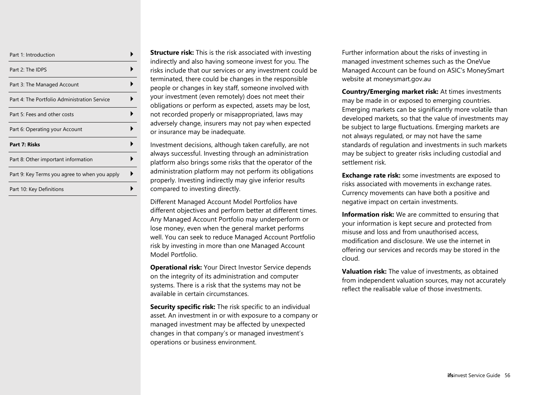| Part 1: Introduction                          |  |
|-----------------------------------------------|--|
| Part 2: The IDPS                              |  |
| Part 3: The Managed Account                   |  |
| Part 4: The Portfolio Administration Service  |  |
| Part 5: Fees and other costs                  |  |
| Part 6: Operating your Account                |  |
| Part 7: Risks                                 |  |
| Part 8: Other important information           |  |
| Part 9: Key Terms you agree to when you apply |  |
| Part 10: Key Definitions                      |  |

**Structure risk:** This is the risk associated with investing indirectly and also having someone invest for you. The risks include that our services or any investment could be terminated, there could be changes in the responsible people or changes in key staff, someone involved with your investment (even remotely) does not meet their obligations or perform as expected, assets may be lost, not recorded properly or misappropriated, laws may adversely change, insurers may not pay when expected or insurance may be inadequate.

Investment decisions, although taken carefully, are not always successful. Investing through an administration platform also brings some risks that the operator of the administration platform may not perform its obligations properly. Investing indirectly may give inferior results compared to investing directly.

Different Managed Account Model Portfolios have different objectives and perform better at different times. Any Managed Account Portfolio may underperform or lose money, even when the general market performs well. You can seek to reduce Managed Account Portfolio risk by investing in more than one Managed Account Model Portfolio.

**Operational risk:** Your Direct Investor Service depends on the integrity of its administration and computer systems. There is a risk that the systems may not be available in certain circumstances.

**Security specific risk:** The risk specific to an individual asset. An investment in or with exposure to a company or managed investment may be affected by unexpected changes in that company's or managed investment's operations or business environment.

Further information about the risks of investing in managed investment schemes such as the OneVue Managed Account can be found on ASIC's MoneySmart website at moneysmart.gov.au

**Country/Emerging market risk:** At times investments may be made in or exposed to emerging countries. Emerging markets can be significantly more volatile than developed markets, so that the value of investments may be subject to large fluctuations. Emerging markets are not always regulated, or may not have the same standards of regulation and investments in such markets may be subject to greater risks including custodial and settlement risk.

**Exchange rate risk:** some investments are exposed to risks associated with movements in exchange rates. Currency movements can have both a positive and negative impact on certain investments.

**Information risk:** We are committed to ensuring that your information is kept secure and protected from misuse and loss and from unauthorised access, modification and disclosure. We use the internet in offering our services and records may be stored in the cloud.

**Valuation risk:** The value of investments, as obtained from independent valuation sources, may not accurately reflect the realisable value of those investments.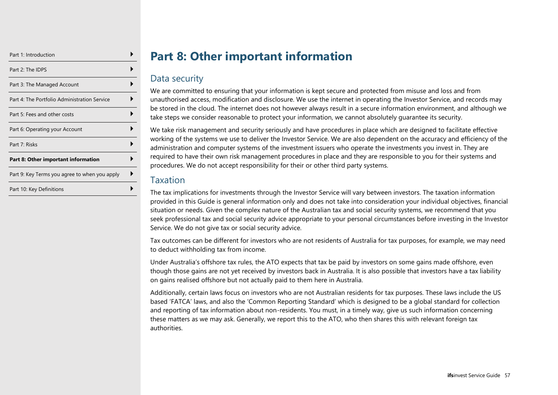| Part 1: Introduction                          |  |
|-----------------------------------------------|--|
| Part 2: The IDPS                              |  |
| Part 3: The Managed Account                   |  |
| Part 4: The Portfolio Administration Service  |  |
| Part 5: Fees and other costs                  |  |
| Part 6: Operating your Account                |  |
| Part 7: Risks                                 |  |
| Part 8: Other important information           |  |
| Part 9: Key Terms you agree to when you apply |  |
| Part 10: Key Definitions                      |  |

# **Part 8: Other important information**

## <span id="page-56-0"></span>Data security

We are committed to ensuring that your information is kept secure and protected from misuse and loss and from unauthorised access, modification and disclosure. We use the internet in operating the Investor Service, and records may be stored in the cloud. The internet does not however always result in a secure information environment, and although we take steps we consider reasonable to protect your information, we cannot absolutely guarantee its security.

We take risk management and security seriously and have procedures in place which are designed to facilitate effective working of the systems we use to deliver the Investor Service. We are also dependent on the accuracy and efficiency of the administration and computer systems of the investment issuers who operate the investments you invest in. They are required to have their own risk management procedures in place and they are responsible to you for their systems and procedures. We do not accept responsibility for their or other third party systems.

## Taxation

The tax implications for investments through the Investor Service will vary between investors. The taxation information provided in this Guide is general information only and does not take into consideration your individual objectives, financial situation or needs. Given the complex nature of the Australian tax and social security systems, we recommend that you seek professional tax and social security advice appropriate to your personal circumstances before investing in the Investor Service. We do not give tax or social security advice.

Tax outcomes can be different for investors who are not residents of Australia for tax purposes, for example, we may need to deduct withholding tax from income.

Under Australia's offshore tax rules, the ATO expects that tax be paid by investors on some gains made offshore, even though those gains are not yet received by investors back in Australia. It is also possible that investors have a tax liability on gains realised offshore but not actually paid to them here in Australia.

Additionally, certain laws focus on investors who are not Australian residents for tax purposes. These laws include the US based 'FATCA' laws, and also the 'Common Reporting Standard' which is designed to be a global standard for collection and reporting of tax information about non-residents. You must, in a timely way, give us such information concerning these matters as we may ask. Generally, we report this to the ATO, who then shares this with relevant foreign tax authorities.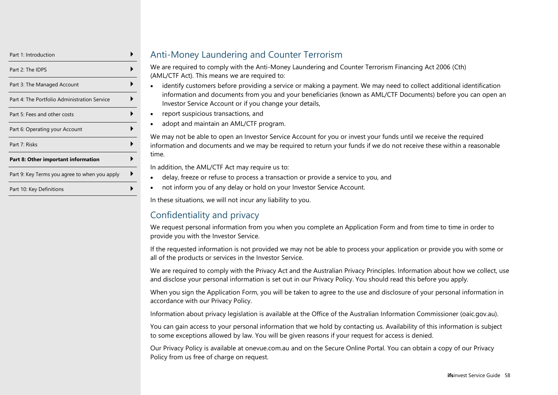| Part 1: Introduction                          |  |
|-----------------------------------------------|--|
| Part 2: The IDPS                              |  |
| Part 3: The Managed Account                   |  |
| Part 4: The Portfolio Administration Service  |  |
| Part 5: Fees and other costs                  |  |
| Part 6: Operating your Account                |  |
| Part 7: Risks                                 |  |
| Part 8: Other important information           |  |
| Part 9: Key Terms you agree to when you apply |  |
| Part 10: Key Definitions                      |  |

## Anti-Money Laundering and Counter Terrorism

We are required to comply with the Anti-Money Laundering and Counter Terrorism Financing Act 2006 (Cth) (AML/CTF Act). This means we are required to:

- identify customers before providing a service or making a payment. We may need to collect additional identification information and documents from you and your beneficiaries (known as AML/CTF Documents) before you can open an Investor Service Account or if you change your details,
- report suspicious transactions, and
- adopt and maintain an AML/CTF program.

We may not be able to open an Investor Service Account for you or invest your funds until we receive the required information and documents and we may be required to return your funds if we do not receive these within a reasonable time.

In addition, the AML/CTF Act may require us to:

- delay, freeze or refuse to process a transaction or provide a service to you, and
- not inform you of any delay or hold on your Investor Service Account.

In these situations, we will not incur any liability to you.

# Confidentiality and privacy

We request personal information from you when you complete an Application Form and from time to time in order to provide you with the Investor Service.

If the requested information is not provided we may not be able to process your application or provide you with some or all of the products or services in the Investor Service.

We are required to comply with the Privacy Act and the Australian Privacy Principles. Information about how we collect, use and disclose your personal information is set out in our Privacy Policy. You should read this before you apply.

When you sign the Application Form, you will be taken to agree to the use and disclosure of your personal information in accordance with our Privacy Policy.

Information about privacy legislation is available at the Office of the Australian Information Commissioner (oaic.gov.au).

You can gain access to your personal information that we hold by contacting us. Availability of this information is subject to some exceptions allowed by law. You will be given reasons if your request for access is denied.

Our Privacy Policy is available at onevue.com.au and on the Secure Online Portal. You can obtain a copy of our Privacy Policy from us free of charge on request.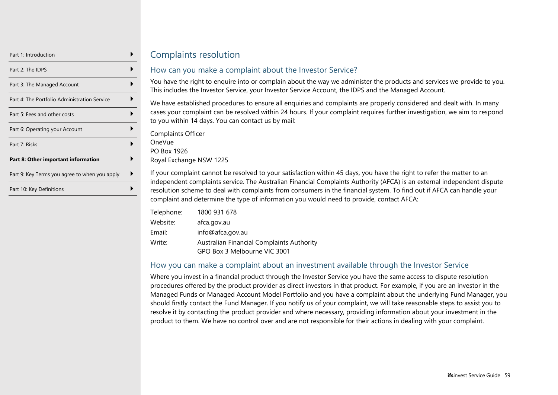| Part 1: Introduction                          |  |
|-----------------------------------------------|--|
| Part 2: The IDPS                              |  |
| Part 3: The Managed Account                   |  |
| Part 4: The Portfolio Administration Service  |  |
| Part 5: Fees and other costs                  |  |
| Part 6: Operating your Account                |  |
| Part 7: Risks                                 |  |
| Part 8: Other important information           |  |
| Part 9: Key Terms you agree to when you apply |  |
| Part 10: Key Definitions                      |  |

## Complaints resolution

#### How can you make a complaint about the Investor Service?

You have the right to enquire into or complain about the way we administer the products and services we provide to you. This includes the Investor Service, your Investor Service Account, the IDPS and the Managed Account.

We have established procedures to ensure all enquiries and complaints are properly considered and dealt with. In many cases your complaint can be resolved within 24 hours. If your complaint requires further investigation, we aim to respond to you within 14 days. You can contact us by mail:

Complaints Officer OneVue PO Box 1926 Royal Exchange NSW 1225

If your complaint cannot be resolved to your satisfaction within 45 days, you have the right to refer the matter to an independent complaints service. The Australian Financial Complaints Authority (AFCA) is an external independent dispute resolution scheme to deal with complaints from consumers in the financial system. To find out if AFCA can handle your complaint and determine the type of information you would need to provide, contact AFCA:

| Telephone: | 1800 931 678                              |
|------------|-------------------------------------------|
| Website:   | afca.gov.au                               |
| Email:     | info@afca.gov.au                          |
| Write:     | Australian Financial Complaints Authority |
|            | GPO Box 3 Melbourne VIC 3001              |

#### How you can make a complaint about an investment available through the Investor Service

Where you invest in a financial product through the Investor Service you have the same access to dispute resolution procedures offered by the product provider as direct investors in that product. For example, if you are an investor in the Managed Funds or Managed Account Model Portfolio and you have a complaint about the underlying Fund Manager, you should firstly contact the Fund Manager. If you notify us of your complaint, we will take reasonable steps to assist you to resolve it by contacting the product provider and where necessary, providing information about your investment in the product to them. We have no control over and are not responsible for their actions in dealing with your complaint.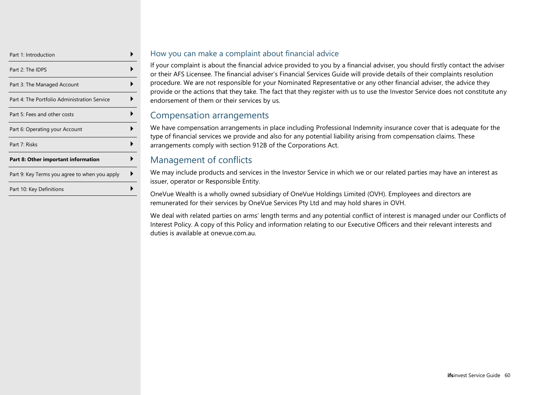| Part 1: Introduction                          |  |
|-----------------------------------------------|--|
| Part 2: The IDPS                              |  |
| Part 3: The Managed Account                   |  |
| Part 4: The Portfolio Administration Service  |  |
| Part 5: Fees and other costs                  |  |
| Part 6: Operating your Account                |  |
| Part 7: Risks                                 |  |
| Part 8: Other important information           |  |
| Part 9: Key Terms you agree to when you apply |  |
| Part 10: Key Definitions                      |  |

#### How you can make a complaint about financial advice

If your complaint is about the financial advice provided to you by a financial adviser, you should firstly contact the adviser or their AFS Licensee. The financial adviser's Financial Services Guide will provide details of their complaints resolution procedure. We are not responsible for your Nominated Representative or any other financial adviser, the advice they provide or the actions that they take. The fact that they register with us to use the Investor Service does not constitute any endorsement of them or their services by us.

## Compensation arrangements

We have compensation arrangements in place including Professional Indemnity insurance cover that is adequate for the type of financial services we provide and also for any potential liability arising from compensation claims. These arrangements comply with section 912B of the Corporations Act.

## Management of conflicts

We may include products and services in the Investor Service in which we or our related parties may have an interest as issuer, operator or Responsible Entity.

OneVue Wealth is a wholly owned subsidiary of OneVue Holdings Limited (OVH). Employees and directors are remunerated for their services by OneVue Services Pty Ltd and may hold shares in OVH.

We deal with related parties on arms' length terms and any potential conflict of interest is managed under our Conflicts of Interest Policy. A copy of this Policy and information relating to our Executive Officers and their relevant interests and duties is available at onevue.com.au.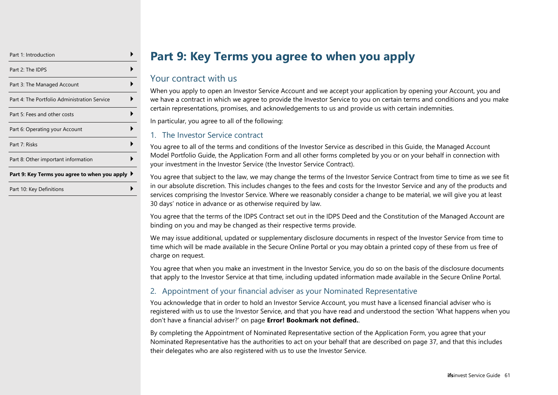| Part 1: Introduction                          |  |
|-----------------------------------------------|--|
| Part 2: The IDPS                              |  |
| Part 3: The Managed Account                   |  |
| Part 4: The Portfolio Administration Service  |  |
| Part 5: Fees and other costs                  |  |
| Part 6: Operating your Account                |  |
| Part 7: Risks                                 |  |
| Part 8: Other important information           |  |
| Part 9: Key Terms you agree to when you apply |  |
| Part 10: Key Definitions                      |  |

# **Part 9: Key Terms you agree to when you apply**

## <span id="page-60-0"></span>Your contract with us

When you apply to open an Investor Service Account and we accept your application by opening your Account, you and we have a contract in which we agree to provide the Investor Service to you on certain terms and conditions and you make certain representations, promises, and acknowledgements to us and provide us with certain indemnities.

In particular, you agree to all of the following:

#### 1. The Investor Service contract

You agree to all of the terms and conditions of the Investor Service as described in this Guide, the Managed Account Model Portfolio Guide, the Application Form and all other forms completed by you or on your behalf in connection with your investment in the Investor Service (the Investor Service Contract).

You agree that subject to the law, we may change the terms of the Investor Service Contract from time to time as we see fit in our absolute discretion. This includes changes to the fees and costs for the Investor Service and any of the products and services comprising the Investor Service. Where we reasonably consider a change to be material, we will give you at least 30 days' notice in advance or as otherwise required by law.

You agree that the terms of the IDPS Contract set out in the IDPS Deed and the Constitution of the Managed Account are binding on you and may be changed as their respective terms provide.

We may issue additional, updated or supplementary disclosure documents in respect of the Investor Service from time to time which will be made available in the Secure Online Portal or you may obtain a printed copy of these from us free of charge on request.

You agree that when you make an investment in the Investor Service, you do so on the basis of the disclosure documents that apply to the Investor Service at that time, including updated information made available in the Secure Online Portal.

#### 2. Appointment of your financial adviser as your Nominated Representative

You acknowledge that in order to hold an Investor Service Account, you must have a licensed financial adviser who is registered with us to use the Investor Service, and that you have read and understood the section 'What happens when you don't have a financial adviser?' on page **Error! Bookmark not defined.**.

By completing the Appointment of Nominated Representative section of the Application Form, you agree that your Nominated Representative has the authorities to act on your behalf that are described on page [37,](#page-36-0) and that this includes their delegates who are also registered with us to use the Investor Service.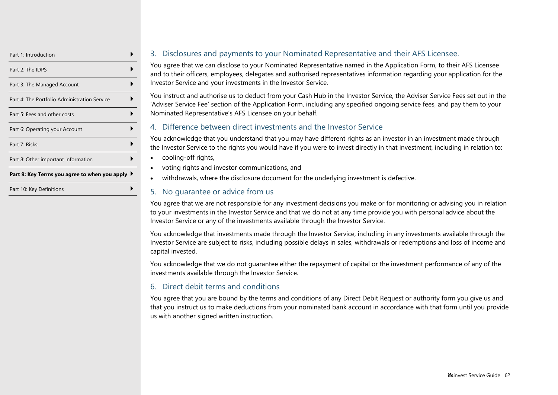| Part 1: Introduction                          |  |
|-----------------------------------------------|--|
| Part 2: The IDPS                              |  |
| Part 3: The Managed Account                   |  |
| Part 4: The Portfolio Administration Service  |  |
| Part 5: Fees and other costs                  |  |
| Part 6: Operating your Account                |  |
| Part 7: Risks                                 |  |
| Part 8: Other important information           |  |
| Part 9: Key Terms you agree to when you apply |  |
| Part 10: Key Definitions                      |  |

#### 3. Disclosures and payments to your Nominated Representative and their AFS Licensee.

You agree that we can disclose to your Nominated Representative named in the Application Form, to their AFS Licensee and to their officers, employees, delegates and authorised representatives information regarding your application for the Investor Service and your investments in the Investor Service.

You instruct and authorise us to deduct from your Cash Hub in the Investor Service, the Adviser Service Fees set out in the 'Adviser Service Fee' section of the Application Form, including any specified ongoing service fees, and pay them to your Nominated Representative's AFS Licensee on your behalf.

#### 4. Difference between direct investments and the Investor Service

You acknowledge that you understand that you may have different rights as an investor in an investment made through the Investor Service to the rights you would have if you were to invest directly in that investment, including in relation to:

- cooling-off rights,
- voting rights and investor communications, and
- withdrawals, where the disclosure document for the underlying investment is defective.

#### 5. No guarantee or advice from us

You agree that we are not responsible for any investment decisions you make or for monitoring or advising you in relation to your investments in the Investor Service and that we do not at any time provide you with personal advice about the Investor Service or any of the investments available through the Investor Service.

You acknowledge that investments made through the Investor Service, including in any investments available through the Investor Service are subject to risks, including possible delays in sales, withdrawals or redemptions and loss of income and capital invested.

You acknowledge that we do not guarantee either the repayment of capital or the investment performance of any of the investments available through the Investor Service.

#### 6. Direct debit terms and conditions

You agree that you are bound by the terms and conditions of any Direct Debit Request or authority form you give us and that you instruct us to make deductions from your nominated bank account in accordance with that form until you provide us with another signed written instruction.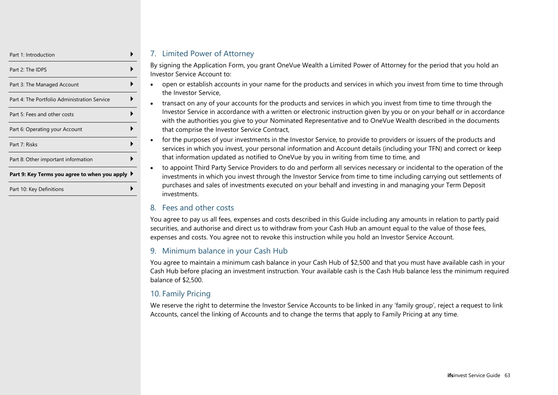| Part 1: Introduction                          |  |
|-----------------------------------------------|--|
| Part 2: The IDPS                              |  |
| Part 3: The Managed Account                   |  |
| Part 4: The Portfolio Administration Service  |  |
| Part 5: Fees and other costs                  |  |
| Part 6: Operating your Account                |  |
| Part 7: Risks                                 |  |
| Part 8: Other important information           |  |
| Part 9: Key Terms you agree to when you apply |  |
| Part 10: Key Definitions                      |  |

#### 7. Limited Power of Attorney

By signing the Application Form, you grant OneVue Wealth a Limited Power of Attorney for the period that you hold an Investor Service Account to:

- open or establish accounts in your name for the products and services in which you invest from time to time through the Investor Service,
- transact on any of your accounts for the products and services in which you invest from time to time through the Investor Service in accordance with a written or electronic instruction given by you or on your behalf or in accordance with the authorities you give to your Nominated Representative and to OneVue Wealth described in the documents that comprise the Investor Service Contract,
- for the purposes of your investments in the Investor Service, to provide to providers or issuers of the products and services in which you invest, your personal information and Account details (including your TFN) and correct or keep that information updated as notified to OneVue by you in writing from time to time, and
- to appoint Third Party Service Providers to do and perform all services necessary or incidental to the operation of the investments in which you invest through the Investor Service from time to time including carrying out settlements of purchases and sales of investments executed on your behalf and investing in and managing your Term Deposit investments.

#### 8. Fees and other costs

You agree to pay us all fees, expenses and costs described in this Guide including any amounts in relation to partly paid securities, and authorise and direct us to withdraw from your Cash Hub an amount equal to the value of those fees, expenses and costs. You agree not to revoke this instruction while you hold an Investor Service Account.

### 9. Minimum balance in your Cash Hub

You agree to maintain a minimum cash balance in your Cash Hub of \$2,500 and that you must have available cash in your Cash Hub before placing an investment instruction. Your available cash is the Cash Hub balance less the minimum required balance of \$2,500.

## 10. Family Pricing

We reserve the right to determine the Investor Service Accounts to be linked in any 'family group', reject a request to link Accounts, cancel the linking of Accounts and to change the terms that apply to Family Pricing at any time.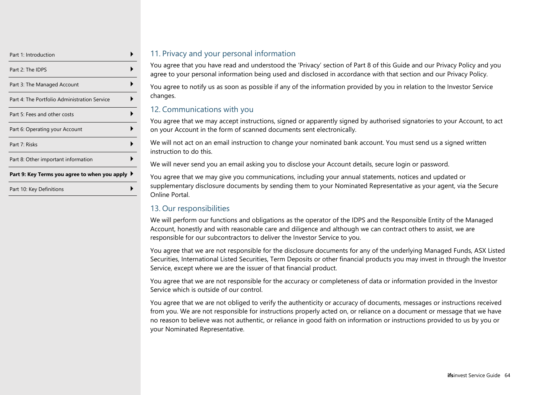| Part 1: Introduction                            |  |
|-------------------------------------------------|--|
| Part 2: The IDPS                                |  |
| Part 3: The Managed Account                     |  |
| Part 4: The Portfolio Administration Service    |  |
| Part 5: Fees and other costs                    |  |
| Part 6: Operating your Account                  |  |
| Part 7: Risks                                   |  |
| Part 8: Other important information             |  |
| Part 9: Key Terms you agree to when you apply l |  |
| Part 10: Key Definitions                        |  |

#### 11. Privacy and your personal information

You agree that you have read and understood the 'Privacy' section of Part 8 of this Guide and our Privacy Policy and you agree to your personal information being used and disclosed in accordance with that section and our Privacy Policy.

You agree to notify us as soon as possible if any of the information provided by you in relation to the Investor Service changes.

#### 12. Communications with you

You agree that we may accept instructions, signed or apparently signed by authorised signatories to your Account, to act on your Account in the form of scanned documents sent electronically.

We will not act on an email instruction to change your nominated bank account. You must send us a signed written instruction to do this.

We will never send you an email asking you to disclose your Account details, secure login or password.

You agree that we may give you communications, including your annual statements, notices and updated or supplementary disclosure documents by sending them to your Nominated Representative as your agent, via the Secure Online Portal.

### 13. Our responsibilities

We will perform our functions and obligations as the operator of the IDPS and the Responsible Entity of the Managed Account, honestly and with reasonable care and diligence and although we can contract others to assist, we are responsible for our subcontractors to deliver the Investor Service to you.

You agree that we are not responsible for the disclosure documents for any of the underlying Managed Funds, ASX Listed Securities, International Listed Securities, Term Deposits or other financial products you may invest in through the Investor Service, except where we are the issuer of that financial product.

You agree that we are not responsible for the accuracy or completeness of data or information provided in the Investor Service which is outside of our control.

You agree that we are not obliged to verify the authenticity or accuracy of documents, messages or instructions received from you. We are not responsible for instructions properly acted on, or reliance on a document or message that we have no reason to believe was not authentic, or reliance in good faith on information or instructions provided to us by you or your Nominated Representative.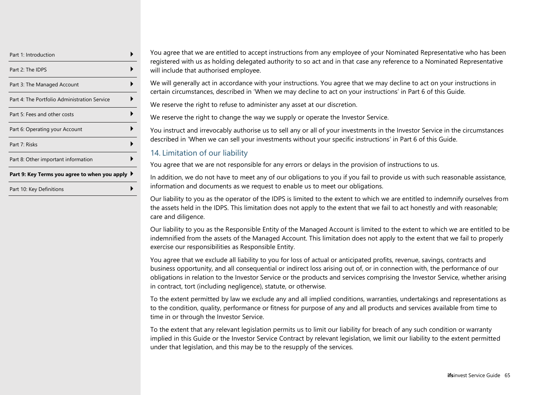| Part 1: Introduction                          |  |
|-----------------------------------------------|--|
| Part 2: The IDPS                              |  |
| Part 3: The Managed Account                   |  |
| Part 4: The Portfolio Administration Service  |  |
| Part 5: Fees and other costs                  |  |
| Part 6: Operating your Account                |  |
| Part 7: Risks                                 |  |
| Part 8: Other important information           |  |
| Part 9: Key Terms you agree to when you apply |  |
| Part 10: Key Definitions                      |  |

You agree that we are entitled to accept instructions from any employee of your Nominated Representative who has been registered with us as holding delegated authority to so act and in that case any reference to a Nominated Representative will include that authorised employee.

We will generally act in accordance with your instructions. You agree that we may decline to act on your instructions in certain circumstances, described in 'When we may decline to act on your instructions' in Part 6 of this Guide.

We reserve the right to refuse to administer any asset at our discretion.

We reserve the right to change the way we supply or operate the Investor Service.

You instruct and irrevocably authorise us to sell any or all of your investments in the Investor Service in the circumstances described in 'When we can sell your investments without your specific instructions' in Part 6 of this Guide.

### 14. Limitation of our liability

You agree that we are not responsible for any errors or delays in the provision of instructions to us.

In addition, we do not have to meet any of our obligations to you if you fail to provide us with such reasonable assistance, information and documents as we request to enable us to meet our obligations.

Our liability to you as the operator of the IDPS is limited to the extent to which we are entitled to indemnify ourselves from the assets held in the IDPS. This limitation does not apply to the extent that we fail to act honestly and with reasonable; care and diligence.

Our liability to you as the Responsible Entity of the Managed Account is limited to the extent to which we are entitled to be indemnified from the assets of the Managed Account. This limitation does not apply to the extent that we fail to properly exercise our responsibilities as Responsible Entity.

You agree that we exclude all liability to you for loss of actual or anticipated profits, revenue, savings, contracts and business opportunity, and all consequential or indirect loss arising out of, or in connection with, the performance of our obligations in relation to the Investor Service or the products and services comprising the Investor Service, whether arising in contract, tort (including negligence), statute, or otherwise.

To the extent permitted by law we exclude any and all implied conditions, warranties, undertakings and representations as to the condition, quality, performance or fitness for purpose of any and all products and services available from time to time in or through the Investor Service.

To the extent that any relevant legislation permits us to limit our liability for breach of any such condition or warranty implied in this Guide or the Investor Service Contract by relevant legislation, we limit our liability to the extent permitted under that legislation, and this may be to the resupply of the services.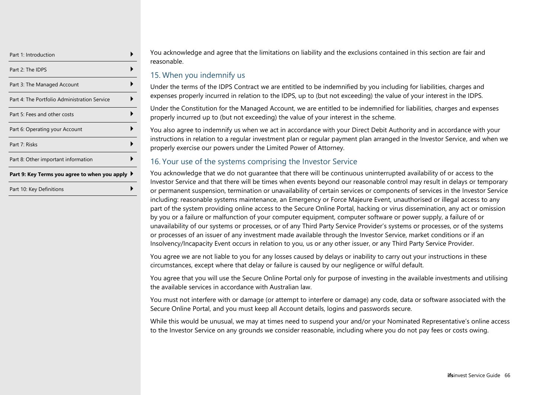| Part 1: Introduction                          |  |
|-----------------------------------------------|--|
| Part 2: The IDPS                              |  |
| Part 3: The Managed Account                   |  |
| Part 4: The Portfolio Administration Service  |  |
| Part 5: Fees and other costs                  |  |
| Part 6: Operating your Account                |  |
| Part 7: Risks                                 |  |
| Part 8: Other important information           |  |
| Part 9: Key Terms you agree to when you apply |  |
| Part 10: Key Definitions                      |  |

You acknowledge and agree that the limitations on liability and the exclusions contained in this section are fair and reasonable.

#### 15. When you indemnify us

Under the terms of the IDPS Contract we are entitled to be indemnified by you including for liabilities, charges and expenses properly incurred in relation to the IDPS, up to (but not exceeding) the value of your interest in the IDPS.

Under the Constitution for the Managed Account, we are entitled to be indemnified for liabilities, charges and expenses properly incurred up to (but not exceeding) the value of your interest in the scheme.

You also agree to indemnify us when we act in accordance with your Direct Debit Authority and in accordance with your instructions in relation to a regular investment plan or regular payment plan arranged in the Investor Service, and when we properly exercise our powers under the Limited Power of Attorney.

#### 16. Your use of the systems comprising the Investor Service

You acknowledge that we do not guarantee that there will be continuous uninterrupted availability of or access to the Investor Service and that there will be times when events beyond our reasonable control may result in delays or temporary or permanent suspension, termination or unavailability of certain services or components of services in the Investor Service including: reasonable systems maintenance, an Emergency or Force Majeure Event, unauthorised or illegal access to any part of the system providing online access to the Secure Online Portal, hacking or virus dissemination, any act or omission by you or a failure or malfunction of your computer equipment, computer software or power supply, a failure of or unavailability of our systems or processes, or of any Third Party Service Provider's systems or processes, or of the systems or processes of an issuer of any investment made available through the Investor Service, market conditions or if an Insolvency/Incapacity Event occurs in relation to you, us or any other issuer, or any Third Party Service Provider.

You agree we are not liable to you for any losses caused by delays or inability to carry out your instructions in these circumstances, except where that delay or failure is caused by our negligence or wilful default.

You agree that you will use the Secure Online Portal only for purpose of investing in the available investments and utilising the available services in accordance with Australian law.

You must not interfere with or damage (or attempt to interfere or damage) any code, data or software associated with the Secure Online Portal, and you must keep all Account details, logins and passwords secure.

While this would be unusual, we may at times need to suspend your and/or your Nominated Representative's online access to the Investor Service on any grounds we consider reasonable, including where you do not pay fees or costs owing.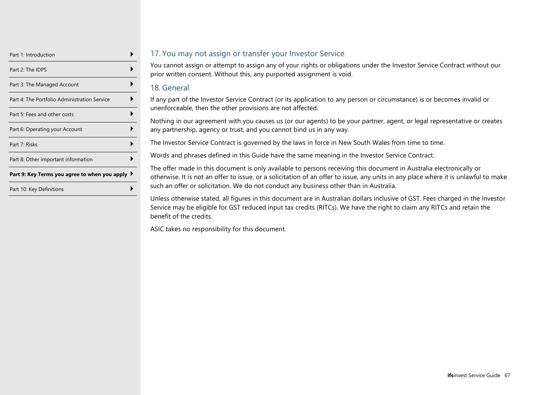| Part 1: Introduction                          |  |
|-----------------------------------------------|--|
| Part 2: The IDPS                              |  |
| Part 3: The Managed Account                   |  |
| Part 4: The Portfolio Administration Service  |  |
| Part 5: Fees and other costs                  |  |
| Part 6: Operating your Account                |  |
| Part 7: Risks                                 |  |
| Part 8: Other important information           |  |
| Part 9: Key Terms you agree to when you apply |  |
| Part 10: Key Definitions                      |  |

#### 17. You may not assign or transfer your Investor Service

You cannot assign or attempt to assign any of your rights or obligations under the Investor Service Contract without our prior written consent. Without this, any purported assignment is void.

#### 18. General

If any part of the Investor Service Contract (or its application to any person or circumstance) is or becomes invalid or unenforceable, then the other provisions are not affected.

Nothing in our agreement with you causes us (or our agents) to be your partner, agent, or legal representative or creates any partnership, agency or trust, and you cannot bind us in any way.

The Investor Service Contract is governed by the laws in force in New South Wales from time to time.

Words and phrases defined in this Guide have the same meaning in the Investor Service Contract.

The offer made in this document is only available to persons receiving this document in Australia electronically or otherwise. It is not an offer to issue, or a solicitation of an offer to issue, any units in any place where it is unlawful to make such an offer or solicitation. We do not conduct any business other than in Australia.

Unless otherwise stated, all figures in this document are in Australian dollars inclusive of GST. Fees charged in the Investor Service may be eligible for GST reduced input tax credits (RITCs). We have the right to claim any RITCs and retain the benefit of the credits.

ASIC takes no responsibility for this document.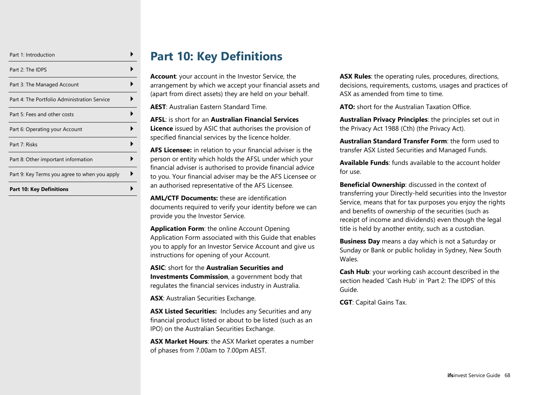| Part 1: Introduction                          |  |
|-----------------------------------------------|--|
| Part 2: The IDPS                              |  |
| Part 3: The Managed Account                   |  |
| Part 4: The Portfolio Administration Service  |  |
| Part 5: Fees and other costs                  |  |
| Part 6: Operating your Account                |  |
| Part 7: Risks                                 |  |
| Part 8: Other important information           |  |
| Part 9: Key Terms you agree to when you apply |  |
| <b>Part 10: Key Definitions</b>               |  |

# **Part 10: Key Definitions**

<span id="page-67-0"></span>**Account**: your account in the Investor Service, the arrangement by which we accept your financial assets and (apart from direct assets) they are held on your behalf.

**AEST**: Australian Eastern Standard Time.

**AFSL**: is short for an **Australian Financial Services Licence** issued by ASIC that authorises the provision of specified financial services by the licence holder.

**AFS Licensee:** in relation to your financial adviser is the person or entity which holds the AFSL under which your financial adviser is authorised to provide financial advice to you. Your financial adviser may be the AFS Licensee or an authorised representative of the AFS Licensee.

**AML/CTF Documents:** these are identification documents required to verify your identity before we can provide you the Investor Service.

**Application Form**: the online Account Opening Application Form associated with this Guide that enables you to apply for an Investor Service Account and give us instructions for opening of your Account.

**ASIC**: short for the **Australian Securities and Investments Commission**, a government body that regulates the financial services industry in Australia.

**ASX**: Australian Securities Exchange.

**ASX Listed Securities:** Includes any Securities and any financial product listed or about to be listed (such as an IPO) on the Australian Securities Exchange.

**ASX Market Hours**: the ASX Market operates a number of phases from 7.00am to 7.00pm AEST.

**ASX Rules**: the operating rules, procedures, directions, decisions, requirements, customs, usages and practices of ASX as amended from time to time.

**ATO:** short for the Australian Taxation Office.

**Australian Privacy Principles**: the principles set out in the Privacy Act 1988 (Cth) (the Privacy Act).

**Australian Standard Transfer Form**: the form used to transfer ASX Listed Securities and Managed Funds.

**Available Funds**: funds available to the account holder for use.

**Beneficial Ownership**: discussed in the context of transferring your Directly-held securities into the Investor Service, means that for tax purposes you enjoy the rights and benefits of ownership of the securities (such as receipt of income and dividends) even though the legal title is held by another entity, such as a custodian.

**Business Day** means a day which is not a Saturday or Sunday or Bank or public holiday in Sydney, New South Wales.

**Cash Hub**: your working cash account described in the section headed 'Cash Hub' in 'Part 2: The IDPS' of this Guide.

**CGT**: Capital Gains Tax.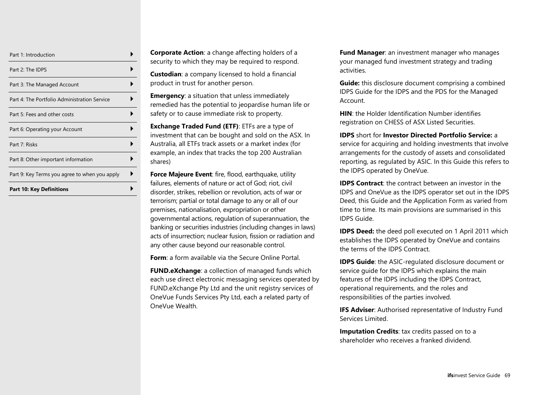| Part 1: Introduction                          |  |
|-----------------------------------------------|--|
| Part 2: The IDPS                              |  |
| Part 3: The Managed Account                   |  |
| Part 4: The Portfolio Administration Service  |  |
| Part 5: Fees and other costs                  |  |
| Part 6: Operating your Account                |  |
| Part 7: Risks                                 |  |
| Part 8: Other important information           |  |
| Part 9: Key Terms you agree to when you apply |  |
| <b>Part 10: Key Definitions</b>               |  |

**Corporate Action**: a change affecting holders of a security to which they may be required to respond.

**Custodian**: a company licensed to hold a financial product in trust for another person.

**Emergency:** a situation that unless immediately remedied has the potential to jeopardise human life or safety or to cause immediate risk to property.

**Exchange Traded Fund (ETF)**: ETFs are a type of investment that can be bought and sold on the ASX. In Australia, all ETFs track assets or a market index (for example, an index that tracks the top 200 Australian shares)

**Force Majeure Event:** fire, flood, earthquake, utility failures, elements of nature or act of God; riot, civil disorder, strikes, rebellion or revolution, acts of war or terrorism; partial or total damage to any or all of our premises, nationalisation, expropriation or other governmental actions, regulation of superannuation, the banking or securities industries (including changes in laws) acts of insurrection; nuclear fusion, fission or radiation and any other cause beyond our reasonable control.

**Form**: a form available via the Secure Online Portal.

**FUND.eXchange**: a collection of managed funds which each use direct electronic messaging services operated by FUND.eXchange Pty Ltd and the unit registry services of OneVue Funds Services Pty Ltd, each a related party of OneVue Wealth.

**Fund Manager**: an investment manager who manages your managed fund investment strategy and trading activities.

**Guide:** this disclosure document comprising a combined IDPS Guide for the IDPS and the PDS for the Managed Account.

**HIN**: the Holder Identification Number identifies registration on CHESS of ASX Listed Securities.

**IDPS** short for **Investor Directed Portfolio Service:** a service for acquiring and holding investments that involve arrangements for the custody of assets and consolidated reporting, as regulated by ASIC. In this Guide this refers to the IDPS operated by OneVue.

**IDPS Contract:** the contract between an investor in the IDPS and OneVue as the IDPS operator set out in the IDPS Deed, this Guide and the Application Form as varied from time to time. Its main provisions are summarised in this IDPS Guide.

**IDPS Deed:** the deed poll executed on 1 April 2011 which establishes the IDPS operated by OneVue and contains the terms of the IDPS Contract.

**IDPS Guide:** the ASIC-regulated disclosure document or service guide for the IDPS which explains the main features of the IDPS including the IDPS Contract, operational requirements, and the roles and responsibilities of the parties involved.

**IFS Adviser:** Authorised representative of Industry Fund Services Limited.

**Imputation Credits**: tax credits passed on to a shareholder who receives a franked dividend.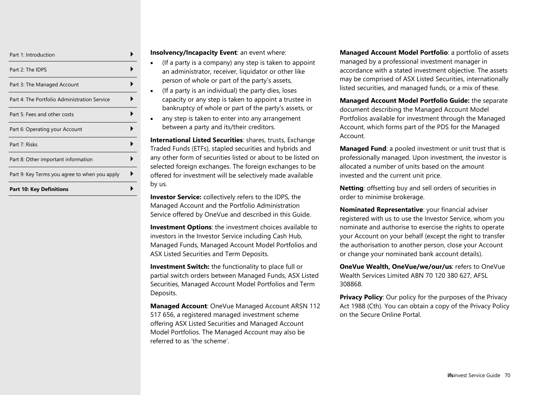| Part 1: Introduction                          |  |
|-----------------------------------------------|--|
| Part 2: The IDPS                              |  |
| Part 3: The Managed Account                   |  |
| Part 4: The Portfolio Administration Service  |  |
| Part 5: Fees and other costs                  |  |
| Part 6: Operating your Account                |  |
| Part 7: Risks                                 |  |
| Part 8: Other important information           |  |
| Part 9: Key Terms you agree to when you apply |  |
| <b>Part 10: Key Definitions</b>               |  |

#### **Insolvency/Incapacity Event**: an event where:

- (If a party is a company) any step is taken to appoint an administrator, receiver, liquidator or other like person of whole or part of the party's assets,
- (If a party is an individual) the party dies, loses capacity or any step is taken to appoint a trustee in bankruptcy of whole or part of the party's assets, or
- any step is taken to enter into any arrangement between a party and its/their creditors.

**International Listed Securities**: shares, trusts, Exchange Traded Funds (ETFs), stapled securities and hybrids and any other form of securities listed or about to be listed on selected foreign exchanges. The foreign exchanges to be offered for investment will be selectively made available by us.

**Investor Service:** collectively refers to the IDPS, the Managed Account and the Portfolio Administration Service offered by OneVue and described in this Guide.

**Investment Options**: the investment choices available to investors in the Investor Service including Cash Hub, Managed Funds, Managed Account Model Portfolios and ASX Listed Securities and Term Deposits.

**Investment Switch:** the functionality to place full or partial switch orders between Managed Funds, ASX Listed Securities, Managed Account Model Portfolios and Term Deposits.

**Managed Account**: OneVue Managed Account ARSN 112 517 656, a registered managed investment scheme offering ASX Listed Securities and Managed Account Model Portfolios. The Managed Account may also be referred to as 'the scheme'.

**Managed Account Model Portfolio**: a portfolio of assets managed by a professional investment manager in accordance with a stated investment objective. The assets may be comprised of ASX Listed Securities, internationally listed securities, and managed funds, or a mix of these.

**Managed Account Model Portfolio Guide:** the separate document describing the Managed Account Model Portfolios available for investment through the Managed Account, which forms part of the PDS for the Managed Account.

**Managed Fund**: a pooled investment or unit trust that is professionally managed. Upon investment, the investor is allocated a number of units based on the amount invested and the current unit price.

**Netting**: offsetting buy and sell orders of securities in order to minimise brokerage.

**Nominated Representative**: your financial adviser registered with us to use the Investor Service, whom you nominate and authorise to exercise the rights to operate your Account on your behalf (except the right to transfer the authorisation to another person, close your Account or change your nominated bank account details).

**OneVue Wealth, OneVue/we/our/us**: refers to OneVue Wealth Services Limited ABN 70 120 380 627, AFSL 308868.

**Privacy Policy:** Our policy for the purposes of the Privacy Act 1988 (Cth). You can obtain a copy of the Privacy Policy on the Secure Online Portal.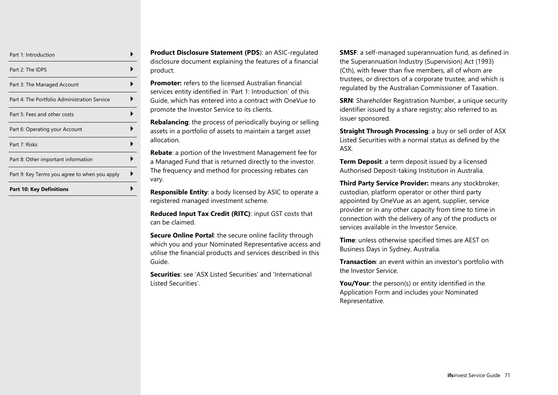| Part 1: Introduction                          |  |
|-----------------------------------------------|--|
| Part 2: The IDPS                              |  |
| Part 3: The Managed Account                   |  |
| Part 4: The Portfolio Administration Service  |  |
| Part 5: Fees and other costs                  |  |
| Part 6: Operating your Account                |  |
| Part 7: Risks                                 |  |
| Part 8: Other important information           |  |
| Part 9: Key Terms you agree to when you apply |  |
| <b>Part 10: Key Definitions</b>               |  |

**Product Disclosure Statement (PDS**): an ASIC-regulated disclosure document explaining the features of a financial product.

**Promoter:** refers to the licensed Australian financial services entity identified in 'Part 1: Introduction' of this Guide, which has entered into a contract with OneVue to promote the Investor Service to its clients.

**Rebalancing**: the process of periodically buying or selling assets in a portfolio of assets to maintain a target asset allocation.

**Rebate**: a portion of the Investment Management fee for a Managed Fund that is returned directly to the investor. The frequency and method for processing rebates can vary.

**Responsible Entity**: a body licensed by ASIC to operate a registered managed investment scheme.

**Reduced Input Tax Credit (RITC)**: input GST costs that can be claimed.

**Secure Online Portal:** the secure online facility through which you and your Nominated Representative access and utilise the financial products and services described in this Guide.

**Securities**: see 'ASX Listed Securities' and 'International Listed Securities'.

**SMSF**: a self-managed superannuation fund, as defined in the Superannuation Industry (Supervision) Act (1993) (Cth), with fewer than five members, all of whom are trustees, or directors of a corporate trustee, and which is regulated by the Australian Commissioner of Taxation.

**SRN**: Shareholder Registration Number, a unique security identifier issued by a share registry; also referred to as issuer sponsored.

**Straight Through Processing**: a buy or sell order of ASX Listed Securities with a normal status as defined by the ASX.

**Term Deposit**: a term deposit issued by a licensed Authorised Deposit-taking Institution in Australia.

**Third Party Service Provider:** means any stockbroker, custodian, platform operator or other third party appointed by OneVue as an agent, supplier, service provider or in any other capacity from time to time in connection with the delivery of any of the products or services available in the Investor Service.

**Time**: unless otherwise specified times are AEST on Business Days in Sydney, Australia.

**Transaction**: an event within an investor's portfolio with the Investor Service.

You/Your: the person(s) or entity identified in the Application Form and includes your Nominated Representative.